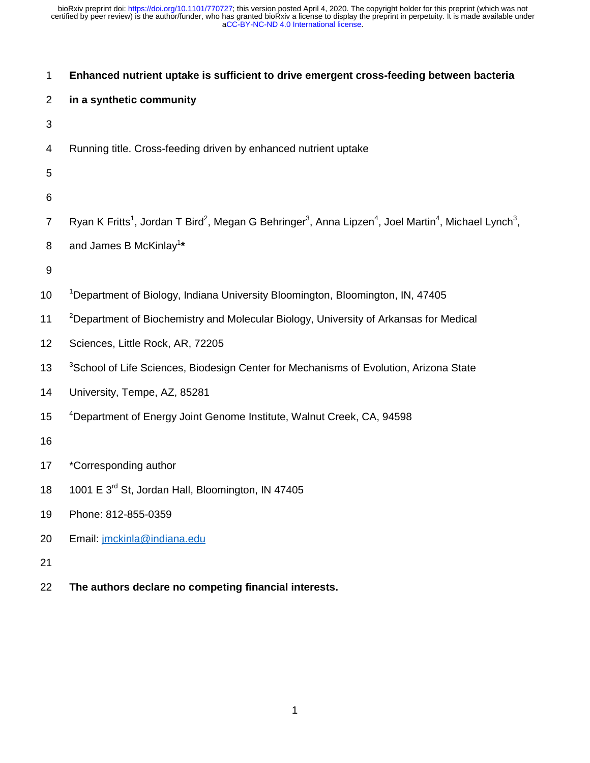| 1              | Enhanced nutrient uptake is sufficient to drive emergent cross-feeding between bacteria                                                                                       |
|----------------|-------------------------------------------------------------------------------------------------------------------------------------------------------------------------------|
| $\overline{2}$ | in a synthetic community                                                                                                                                                      |
| $\sqrt{3}$     |                                                                                                                                                                               |
| 4              | Running title. Cross-feeding driven by enhanced nutrient uptake                                                                                                               |
| 5              |                                                                                                                                                                               |
| 6              |                                                                                                                                                                               |
| $\overline{7}$ | Ryan K Fritts <sup>1</sup> , Jordan T Bird <sup>2</sup> , Megan G Behringer <sup>3</sup> , Anna Lipzen <sup>4</sup> , Joel Martin <sup>4</sup> , Michael Lynch <sup>3</sup> , |
| 8              | and James B McKinlay <sup>1*</sup>                                                                                                                                            |
| $9\,$          |                                                                                                                                                                               |
| 10             | <sup>1</sup> Department of Biology, Indiana University Bloomington, Bloomington, IN, 47405                                                                                    |
| 11             | <sup>2</sup> Department of Biochemistry and Molecular Biology, University of Arkansas for Medical                                                                             |
| 12             | Sciences, Little Rock, AR, 72205                                                                                                                                              |
| 13             | <sup>3</sup> School of Life Sciences, Biodesign Center for Mechanisms of Evolution, Arizona State                                                                             |
| 14             | University, Tempe, AZ, 85281                                                                                                                                                  |
| 15             | <sup>4</sup> Department of Energy Joint Genome Institute, Walnut Creek, CA, 94598                                                                                             |
| 16             |                                                                                                                                                                               |
| 17             | *Corresponding author                                                                                                                                                         |
| 18             | 1001 E 3 <sup>rd</sup> St, Jordan Hall, Bloomington, IN 47405                                                                                                                 |
| 19             | Phone: 812-855-0359                                                                                                                                                           |
| 20             | Email: jmckinla@indiana.edu                                                                                                                                                   |
| 21             |                                                                                                                                                                               |
| 22             | The authors declare no competing financial interests.                                                                                                                         |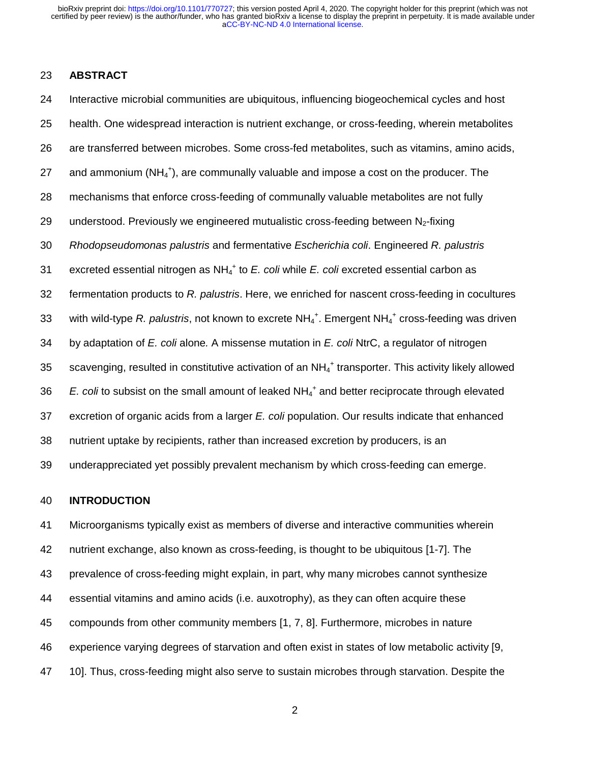### 23 **ABSTRACT**

24 Interactive microbial communities are ubiquitous, influencing biogeochemical cycles and host 25 health. One widespread interaction is nutrient exchange, or cross-feeding, wherein metabolites 26 are transferred between microbes. Some cross-fed metabolites, such as vitamins, amino acids, 27 and ammonium ( $NH_4^+$ ), are communally valuable and impose a cost on the producer. The 28 mechanisms that enforce cross-feeding of communally valuable metabolites are not fully 29 understood. Previously we engineered mutualistic cross-feeding between  $N<sub>2</sub>$ -fixing 30 *Rhodopseudomonas palustris* and fermentative *Escherichia coli*. Engineered *R. palustris* 31 excreted essential nitrogen as NH<sub>4</sub><sup>+</sup> to *E. coli* while *E. coli* excreted essential carbon as 32 fermentation products to *R. palustris*. Here, we enriched for nascent cross-feeding in cocultures 33 with wild-type R. palustris, not known to excrete NH<sub>4</sub><sup>+</sup>. Emergent NH<sub>4</sub><sup>+</sup> cross-feeding was driven 34 by adaptation of *E. coli* alone*.* A missense mutation in *E. coli* NtrC, a regulator of nitrogen 35 scavenging, resulted in constitutive activation of an  $NH_4^+$  transporter. This activity likely allowed 36 *E. coli* to subsist on the small amount of leaked NH<sub>4</sub><sup>+</sup> and better reciprocate through elevated 37 excretion of organic acids from a larger *E. coli* population. Our results indicate that enhanced 38 nutrient uptake by recipients, rather than increased excretion by producers, is an 39 underappreciated yet possibly prevalent mechanism by which cross-feeding can emerge.

#### 40 **INTRODUCTION**

41 Microorganisms typically exist as members of diverse and interactive communities wherein 42 nutrient exchange, also known as cross-feeding, is thought to be ubiquitous [1-7]. The 43 prevalence of cross-feeding might explain, in part, why many microbes cannot synthesize 44 essential vitamins and amino acids (i.e. auxotrophy), as they can often acquire these 45 compounds from other community members [1, 7, 8]. Furthermore, microbes in nature 46 experience varying degrees of starvation and often exist in states of low metabolic activity [9, 47 10]. Thus, cross-feeding might also serve to sustain microbes through starvation. Despite the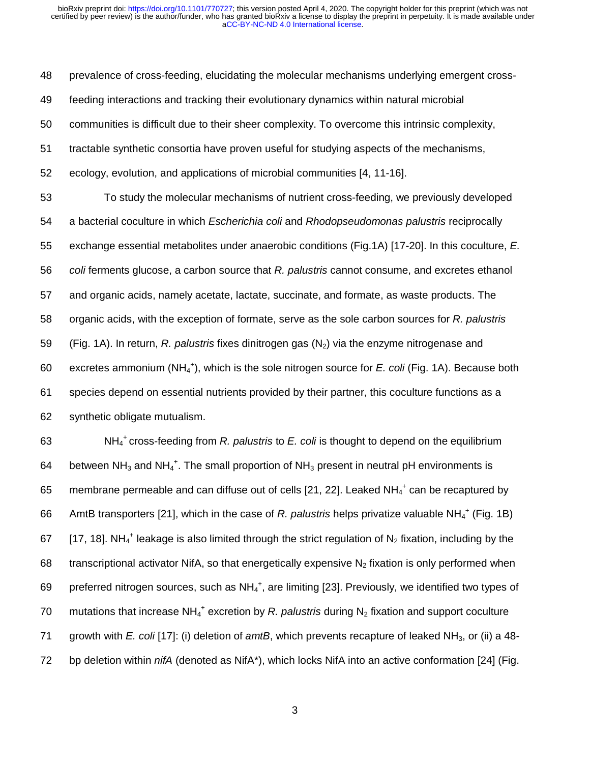48 prevalence of cross-feeding, elucidating the molecular mechanisms underlying emergent cross-

49 feeding interactions and tracking their evolutionary dynamics within natural microbial

50 communities is difficult due to their sheer complexity. To overcome this intrinsic complexity,

- 51 tractable synthetic consortia have proven useful for studying aspects of the mechanisms,
- 52 ecology, evolution, and applications of microbial communities [4, 11-16].

53 To study the molecular mechanisms of nutrient cross-feeding, we previously developed 54 a bacterial coculture in which *Escherichia coli* and *Rhodopseudomonas palustris* reciprocally 55 exchange essential metabolites under anaerobic conditions (Fig.1A) [17-20]. In this coculture, *E.*  56 *coli* ferments glucose, a carbon source that *R. palustris* cannot consume, and excretes ethanol 57 and organic acids, namely acetate, lactate, succinate, and formate, as waste products. The 58 organic acids, with the exception of formate, serve as the sole carbon sources for *R. palustris* 59 (Fig. 1A). In return, *R. palustris* fixes dinitrogen gas (N2) via the enzyme nitrogenase and 60 excretes ammonium (NH<sub>4</sub><sup>+</sup>), which is the sole nitrogen source for *E. coli* (Fig. 1A). Because both 61 species depend on essential nutrients provided by their partner, this coculture functions as a 62 synthetic obligate mutualism.

63 NH<sub>4</sub><sup>+</sup> cross-feeding from *R. palustris* to *E. coli* is thought to depend on the equilibrium 64 between NH<sub>3</sub> and NH<sub>4</sub><sup>+</sup>. The small proportion of NH<sub>3</sub> present in neutral pH environments is 65 membrane permeable and can diffuse out of cells [21, 22]. Leaked  $NH_4^+$  can be recaptured by 66 AmtB transporters [21], which in the case of *R. palustris* helps privatize valuable NH<sub>4</sub><sup>+</sup> (Fig. 1B) 67 [17, 18]. NH<sub>4</sub><sup>+</sup> leakage is also limited through the strict regulation of N<sub>2</sub> fixation, including by the 68 transcriptional activator NifA, so that energetically expensive  $N_2$  fixation is only performed when 69 preferred nitrogen sources, such as  $NH_4^+$ , are limiting [23]. Previously, we identified two types of 70 mutations that increase NH<sub>4</sub><sup>+</sup> excretion by *R. palustris* during N<sub>2</sub> fixation and support coculture 71 growth with *E. coli* [17]: (i) deletion of *amtB*, which prevents recapture of leaked NH<sub>3</sub>, or (ii) a 48-72 bp deletion within *nifA* (denoted as NifA<sup>\*</sup>), which locks NifA into an active conformation [24] (Fig.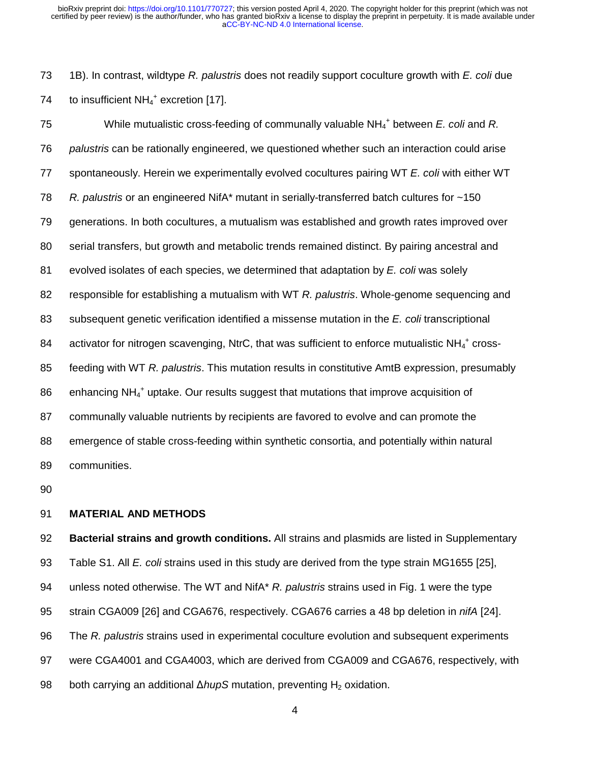73 1B). In contrast, wildtype *R. palustris* does not readily support coculture growth with *E. coli* due 74 to insufficient  $NH_4$ <sup>+</sup> excretion [17].

75 While mutualistic cross-feeding of communally valuable NH<sub>4</sub><sup>+</sup> between *E. coli* and *R.* 76 *palustris* can be rationally engineered, we questioned whether such an interaction could arise 77 spontaneously. Herein we experimentally evolved cocultures pairing WT *E. coli* with either WT 78 *R. palustris* or an engineered NifA\* mutant in serially-transferred batch cultures for ~150 79 generations. In both cocultures, a mutualism was established and growth rates improved over 80 serial transfers, but growth and metabolic trends remained distinct. By pairing ancestral and 81 evolved isolates of each species, we determined that adaptation by *E. coli* was solely 82 responsible for establishing a mutualism with WT *R. palustris*. Whole-genome sequencing and 83 subsequent genetic verification identified a missense mutation in the *E. coli* transcriptional 84 activator for nitrogen scavenging, NtrC, that was sufficient to enforce mutualistic NH $_4^+$  cross-85 feeding with WT *R. palustris*. This mutation results in constitutive AmtB expression, presumably 86 enhancing NH<sub>4</sub><sup>+</sup> uptake. Our results suggest that mutations that improve acquisition of 87 communally valuable nutrients by recipients are favored to evolve and can promote the 88 emergence of stable cross-feeding within synthetic consortia, and potentially within natural 89 communities.

90

## 91 **MATERIAL AND METHODS**

92 **Bacterial strains and growth conditions.** All strains and plasmids are listed in Supplementary 93 Table S1. All *E. coli* strains used in this study are derived from the type strain MG1655 [25], 94 unless noted otherwise. The WT and NifA\* *R. palustris* strains used in Fig. 1 were the type 95 strain CGA009 [26] and CGA676, respectively. CGA676 carries a 48 bp deletion in *nifA* [24]. 96 The *R. palustris* strains used in experimental coculture evolution and subsequent experiments 97 were CGA4001 and CGA4003, which are derived from CGA009 and CGA676, respectively, with 98 both carrying an additional Δ*hupS* mutation, preventing H<sub>2</sub> oxidation.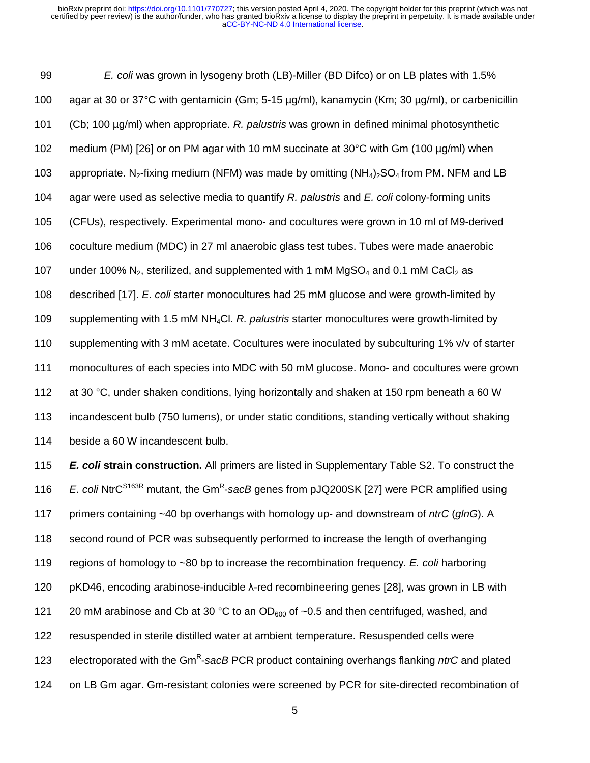99 *E. coli* was grown in lysogeny broth (LB)-Miller (BD Difco) or on LB plates with 1.5% 100 agar at 30 or 37°C with gentamicin (Gm; 5-15 µg/ml), kanamycin (Km; 30 µg/ml), or carbenicillin 101 (Cb; 100 µg/ml) when appropriate. *R. palustris* was grown in defined minimal photosynthetic 102 medium (PM) [26] or on PM agar with 10 mM succinate at 30°C with Gm (100 µg/ml) when 103 appropriate. N<sub>2</sub>-fixing medium (NFM) was made by omitting  $(NH_4)_2SO_4$  from PM. NFM and LB 104 agar were used as selective media to quantify *R. palustris* and *E. coli* colony-forming units 105 (CFUs), respectively. Experimental mono- and cocultures were grown in 10 ml of M9-derived 106 coculture medium (MDC) in 27 ml anaerobic glass test tubes. Tubes were made anaerobic 107 under 100%  $N_2$ , sterilized, and supplemented with 1 mM MgSO<sub>4</sub> and 0.1 mM CaCl<sub>2</sub> as 108 described [17]. *E. coli* starter monocultures had 25 mM glucose and were growth-limited by 109 supplementing with 1.5 mM NH4Cl. *R. palustris* starter monocultures were growth-limited by 110 supplementing with 3 mM acetate. Cocultures were inoculated by subculturing 1% v/v of starter 111 monocultures of each species into MDC with 50 mM glucose. Mono- and cocultures were grown 112 at 30 °C, under shaken conditions, lying horizontally and shaken at 150 rpm beneath a 60 W 113 incandescent bulb (750 lumens), or under static conditions, standing vertically without shaking 114 beside a 60 W incandescent bulb.

115 *E. coli* **strain construction.** All primers are listed in Supplementary Table S2. To construct the 116  $E.$  *Coli* NtrC<sup>S163R</sup> mutant, the Gm<sup>R</sup>-sacB genes from pJQ200SK [27] were PCR amplified using 117 primers containing ~40 bp overhangs with homology up- and downstream of *ntrC* (*glnG*). A 118 second round of PCR was subsequently performed to increase the length of overhanging 119 regions of homology to ~80 bp to increase the recombination frequency. *E. coli* harboring 120 pKD46, encoding arabinose-inducible λ-red recombineering genes [28], was grown in LB with 121 20 mM arabinose and Cb at 30 °C to an OD $_{600}$  of ~0.5 and then centrifuged, washed, and 122 resuspended in sterile distilled water at ambient temperature. Resuspended cells were 123 electroporated with the Gm<sup>R</sup>-sacB PCR product containing overhangs flanking *ntrC* and plated 124 on LB Gm agar. Gm-resistant colonies were screened by PCR for site-directed recombination of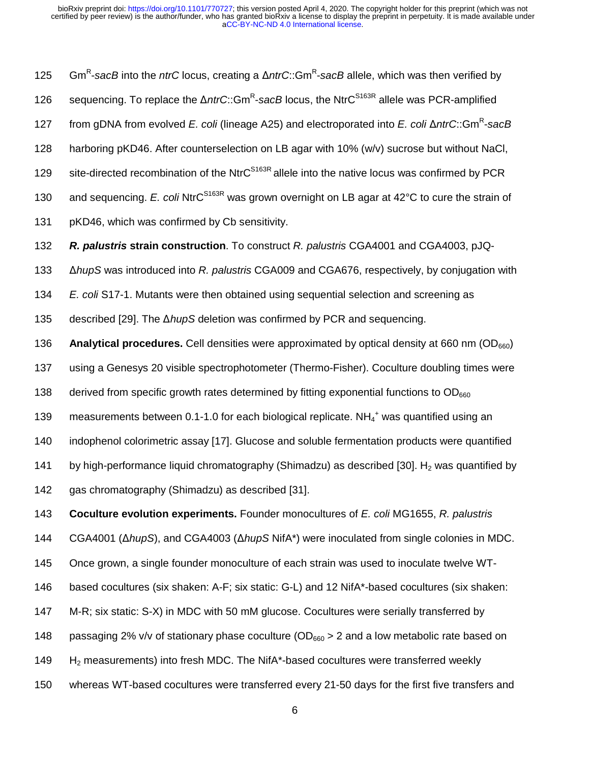125 Gm<sup>R</sup>-sacB into the *ntrC* locus, creating a Δ*ntrC*::Gm<sup>R</sup>-sacB allele, which was then verified by 126 sequencing. To replace the Δ*ntrC*::Gm<sup>R</sup>-sacB locus, the NtrC<sup>S163R</sup> allele was PCR-amplified from gDNA from evolved *E. coli* (lineage A25) and electroporated into *E. coli* Δ*ntrC*::Gm<sup>R</sup>-sacB 128 harboring pKD46. After counterselection on LB agar with 10% (w/v) sucrose but without NaCl, 129 site-directed recombination of the NtrC<sup>S163R</sup> allele into the native locus was confirmed by PCR 130 and sequencing. *E. coli* NtrC<sup>S163R</sup> was grown overnight on LB agar at 42°C to cure the strain of 131 pKD46, which was confirmed by Cb sensitivity. 132 *R. palustris* **strain construction**. To construct *R. palustris* CGA4001 and CGA4003, pJQ-<sup>133</sup>Δ*hupS* was introduced into *R. palustris* CGA009 and CGA676, respectively, by conjugation with 134 *E. coli* S17-1. Mutants were then obtained using sequential selection and screening as 135 described [29]. The Δ*hupS* deletion was confirmed by PCR and sequencing. 136 **Analytical procedures.** Cell densities were approximated by optical density at 660 nm (OD<sub>660</sub>) 137 using a Genesys 20 visible spectrophotometer (Thermo-Fisher). Coculture doubling times were 138 derived from specific growth rates determined by fitting exponential functions to  $OD_{660}$ 139 measurements between 0.1-1.0 for each biological replicate.  $NH_4^+$  was quantified using an 140 indophenol colorimetric assay [17]. Glucose and soluble fermentation products were quantified 141 by high-performance liquid chromatography (Shimadzu) as described [30]. H<sub>2</sub> was quantified by 142 gas chromatography (Shimadzu) as described [31]. 143 **Coculture evolution experiments.** Founder monocultures of *E. coli* MG1655, *R. palustris* 144 CGA4001 (Δ*hupS*), and CGA4003 (Δ*hupS* NifA\*) were inoculated from single colonies in MDC. 145 Once grown, a single founder monoculture of each strain was used to inoculate twelve WT-

146 based cocultures (six shaken: A-F; six static: G-L) and 12 NifA\*-based cocultures (six shaken:

147 M-R; six static: S-X) in MDC with 50 mM glucose. Cocultures were serially transferred by

148 passaging 2% v/v of stationary phase coculture ( $OD_{660} > 2$  and a low metabolic rate based on

- 149 H<sub>2</sub> measurements) into fresh MDC. The NifA<sup>\*</sup>-based cocultures were transferred weekly
- 150 whereas WT-based cocultures were transferred every 21-50 days for the first five transfers and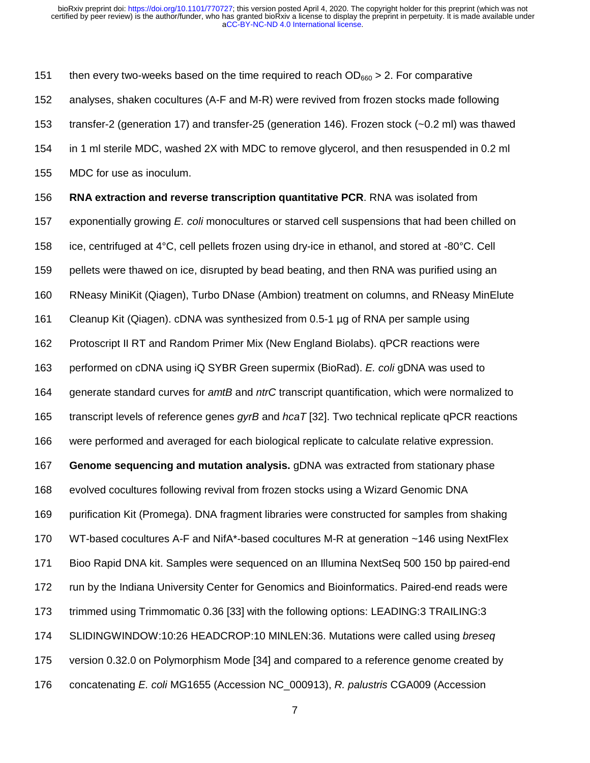151 then every two-weeks based on the time required to reach  $OD_{660} > 2$ . For comparative 152 analyses, shaken cocultures (A-F and M-R) were revived from frozen stocks made following 153 transfer-2 (generation 17) and transfer-25 (generation 146). Frozen stock (~0.2 ml) was thawed 154 in 1 ml sterile MDC, washed 2X with MDC to remove glycerol, and then resuspended in 0.2 ml 155 MDC for use as inoculum.

156 **RNA extraction and reverse transcription quantitative PCR**. RNA was isolated from 157 exponentially growing *E. coli* monocultures or starved cell suspensions that had been chilled on 158 ice, centrifuged at 4°C, cell pellets frozen using dry-ice in ethanol, and stored at -80°C. Cell 159 pellets were thawed on ice, disrupted by bead beating, and then RNA was purified using an 160 RNeasy MiniKit (Qiagen), Turbo DNase (Ambion) treatment on columns, and RNeasy MinElute 161 Cleanup Kit (Qiagen). cDNA was synthesized from 0.5-1 µg of RNA per sample using 162 Protoscript II RT and Random Primer Mix (New England Biolabs). qPCR reactions were 163 performed on cDNA using iQ SYBR Green supermix (BioRad). *E. coli* gDNA was used to 164 generate standard curves for *amtB* and *ntrC* transcript quantification, which were normalized to 165 transcript levels of reference genes *gyrB* and *hcaT* [32]. Two technical replicate qPCR reactions 166 were performed and averaged for each biological replicate to calculate relative expression. 167 **Genome sequencing and mutation analysis.** gDNA was extracted from stationary phase 168 evolved cocultures following revival from frozen stocks using a Wizard Genomic DNA 169 purification Kit (Promega). DNA fragment libraries were constructed for samples from shaking 170 WT-based cocultures A-F and NifA\*-based cocultures M-R at generation ~146 using NextFlex 171 Bioo Rapid DNA kit. Samples were sequenced on an Illumina NextSeq 500 150 bp paired-end 172 run by the Indiana University Center for Genomics and Bioinformatics. Paired-end reads were 173 trimmed using Trimmomatic 0.36 [33] with the following options: LEADING:3 TRAILING:3 174 SLIDINGWINDOW:10:26 HEADCROP:10 MINLEN:36. Mutations were called using *breseq*  175 version 0.32.0 on Polymorphism Mode [34] and compared to a reference genome created by 176 concatenating *E. coli* MG1655 (Accession NC\_000913), *R. palustris* CGA009 (Accession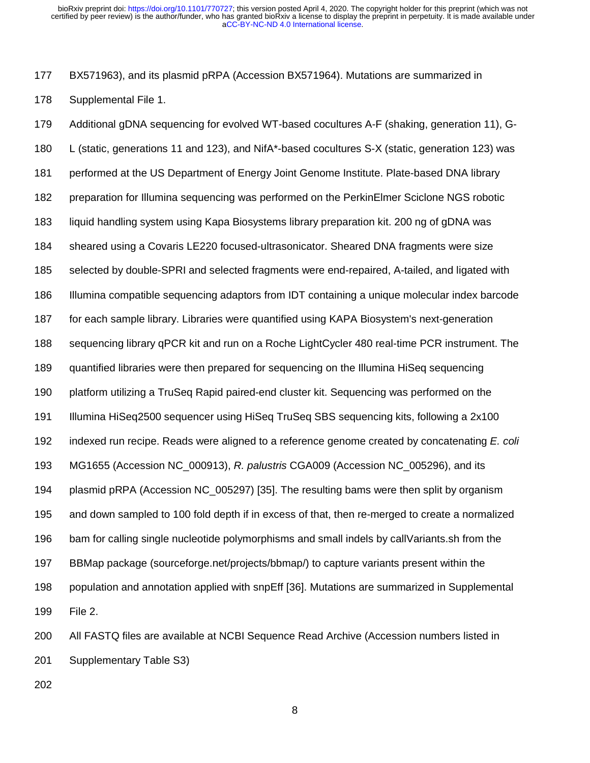177 BX571963), and its plasmid pRPA (Accession BX571964). Mutations are summarized in 178 Supplemental File 1.

179 Additional gDNA sequencing for evolved WT-based cocultures A-F (shaking, generation 11), G-180 L (static, generations 11 and 123), and NifA\*-based cocultures S-X (static, generation 123) was 181 performed at the US Department of Energy Joint Genome Institute. Plate-based DNA library 182 preparation for Illumina sequencing was performed on the PerkinElmer Sciclone NGS robotic 183 liquid handling system using Kapa Biosystems library preparation kit. 200 ng of gDNA was 184 sheared using a Covaris LE220 focused-ultrasonicator. Sheared DNA fragments were size 185 selected by double-SPRI and selected fragments were end-repaired, A-tailed, and ligated with 186 Illumina compatible sequencing adaptors from IDT containing a unique molecular index barcode 187 for each sample library. Libraries were quantified using KAPA Biosystem's next-generation 188 sequencing library qPCR kit and run on a Roche LightCycler 480 real-time PCR instrument. The 189 quantified libraries were then prepared for sequencing on the Illumina HiSeq sequencing 190 platform utilizing a TruSeq Rapid paired-end cluster kit. Sequencing was performed on the 191 Illumina HiSeq2500 sequencer using HiSeq TruSeq SBS sequencing kits, following a 2x100 192 indexed run recipe. Reads were aligned to a reference genome created by concatenating *E. coli* 193 MG1655 (Accession NC\_000913), *R. palustris* CGA009 (Accession NC\_005296), and its 194 plasmid pRPA (Accession NC\_005297) [35]. The resulting bams were then split by organism 195 and down sampled to 100 fold depth if in excess of that, then re-merged to create a normalized 196 bam for calling single nucleotide polymorphisms and small indels by callVariants.sh from the 197 BBMap package (sourceforge.net/projects/bbmap/) to capture variants present within the 198 population and annotation applied with snpEff [36]. Mutations are summarized in Supplemental 199 File 2.

200 All FASTQ files are available at NCBI Sequence Read Archive (Accession numbers listed in 201 Supplementary Table S3)

8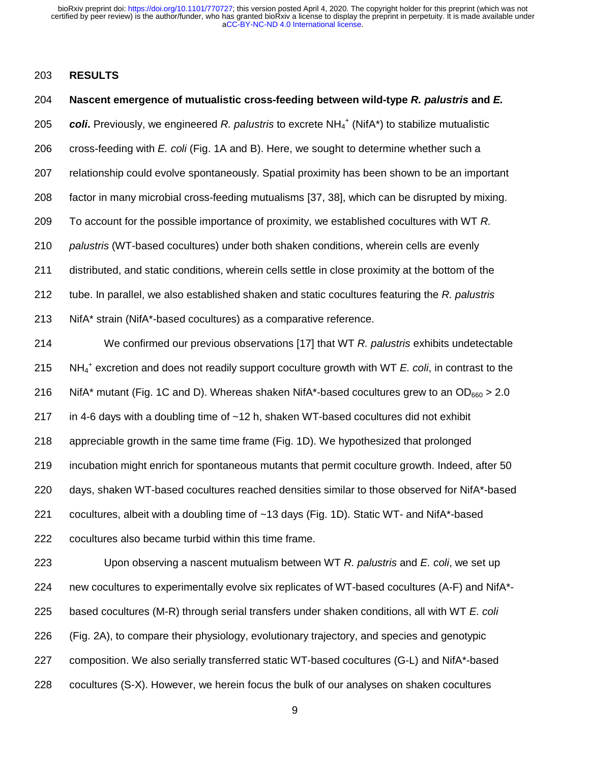#### 203 **RESULTS**

#### 204 **Nascent emergence of mutualistic cross-feeding between wild-type** *R. palustris* **and** *E.*

205 **coli**. Previously, we engineered R. palustris to excrete NH<sub>4</sub><sup>+</sup> (NifA\*) to stabilize mutualistic

206 cross-feeding with *E. coli* (Fig. 1A and B). Here, we sought to determine whether such a

207 relationship could evolve spontaneously. Spatial proximity has been shown to be an important

208 factor in many microbial cross-feeding mutualisms [37, 38], which can be disrupted by mixing.

209 To account for the possible importance of proximity, we established cocultures with WT *R.* 

210 *palustris* (WT-based cocultures) under both shaken conditions, wherein cells are evenly

211 distributed, and static conditions, wherein cells settle in close proximity at the bottom of the

212 tube. In parallel, we also established shaken and static cocultures featuring the *R. palustris*

213 NifA\* strain (NifA\*-based cocultures) as a comparative reference.

214 We confirmed our previous observations [17] that WT *R. palustris* exhibits undetectable NH4 <sup>+</sup> 215 excretion and does not readily support coculture growth with WT *E. coli*, in contrast to the 216 NifA\* mutant (Fig. 1C and D). Whereas shaken NifA\*-based cocultures grew to an  $OD_{660} > 2.0$ 217 in 4-6 days with a doubling time of ~12 h, shaken WT-based cocultures did not exhibit 218 appreciable growth in the same time frame (Fig. 1D). We hypothesized that prolonged 219 incubation might enrich for spontaneous mutants that permit coculture growth. Indeed, after 50 220 days, shaken WT-based cocultures reached densities similar to those observed for NifA\*-based 221 cocultures, albeit with a doubling time of ~13 days (Fig. 1D). Static WT- and NifA\*-based 222 cocultures also became turbid within this time frame.

223 Upon observing a nascent mutualism between WT *R. palustris* and *E. coli*, we set up 224 new cocultures to experimentally evolve six replicates of WT-based cocultures (A-F) and NifA\*- 225 based cocultures (M-R) through serial transfers under shaken conditions, all with WT *E. coli*  226 (Fig. 2A), to compare their physiology, evolutionary trajectory, and species and genotypic 227 composition. We also serially transferred static WT-based cocultures (G-L) and NifA\*-based 228 cocultures (S-X). However, we herein focus the bulk of our analyses on shaken cocultures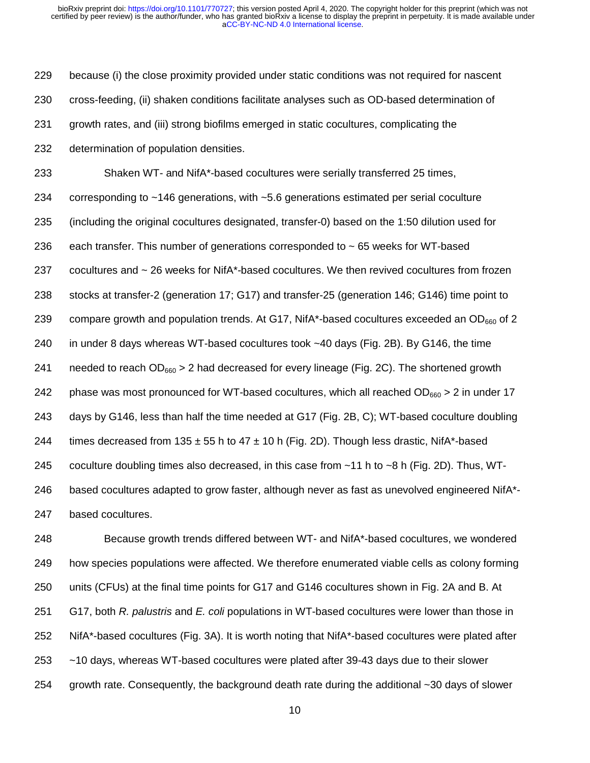229 because (i) the close proximity provided under static conditions was not required for nascent 230 cross-feeding, (ii) shaken conditions facilitate analyses such as OD-based determination of 231 growth rates, and (iii) strong biofilms emerged in static cocultures, complicating the 232 determination of population densities.

233 Shaken WT- and NifA\*-based cocultures were serially transferred 25 times, 234 corresponding to ~146 generations, with ~5.6 generations estimated per serial coculture 235 (including the original cocultures designated, transfer-0) based on the 1:50 dilution used for 236 each transfer. This number of generations corresponded to ~ 65 weeks for WT-based 237 cocultures and ~ 26 weeks for NifA\*-based cocultures. We then revived cocultures from frozen 238 stocks at transfer-2 (generation 17; G17) and transfer-25 (generation 146; G146) time point to 239 compare growth and population trends. At G17, NifA\*-based cocultures exceeded an OD $_{660}$  of 2 240 in under 8 days whereas WT-based cocultures took ~40 days (Fig. 2B). By G146, the time 241 needed to reach OD<sub>660</sub> > 2 had decreased for every lineage (Fig. 2C). The shortened growth 242 phase was most pronounced for WT-based cocultures, which all reached OD $_{660}$  > 2 in under 17 243 days by G146, less than half the time needed at G17 (Fig. 2B, C); WT-based coculture doubling 244 times decreased from 135  $\pm$  55 h to 47  $\pm$  10 h (Fig. 2D). Though less drastic, NifA\*-based 245 coculture doubling times also decreased, in this case from ~11 h to ~8 h (Fig. 2D). Thus, WT-246 based cocultures adapted to grow faster, although never as fast as unevolved engineered NifA\*- 247 based cocultures.

248 Because growth trends differed between WT- and NifA\*-based cocultures, we wondered 249 how species populations were affected. We therefore enumerated viable cells as colony forming 250 units (CFUs) at the final time points for G17 and G146 cocultures shown in Fig. 2A and B. At 251 G17, both *R. palustris* and *E. coli* populations in WT-based cocultures were lower than those in 252 NifA\*-based cocultures (Fig. 3A). It is worth noting that NifA\*-based cocultures were plated after 253 ~10 days, whereas WT-based cocultures were plated after 39-43 days due to their slower 254 growth rate. Consequently, the background death rate during the additional ~30 days of slower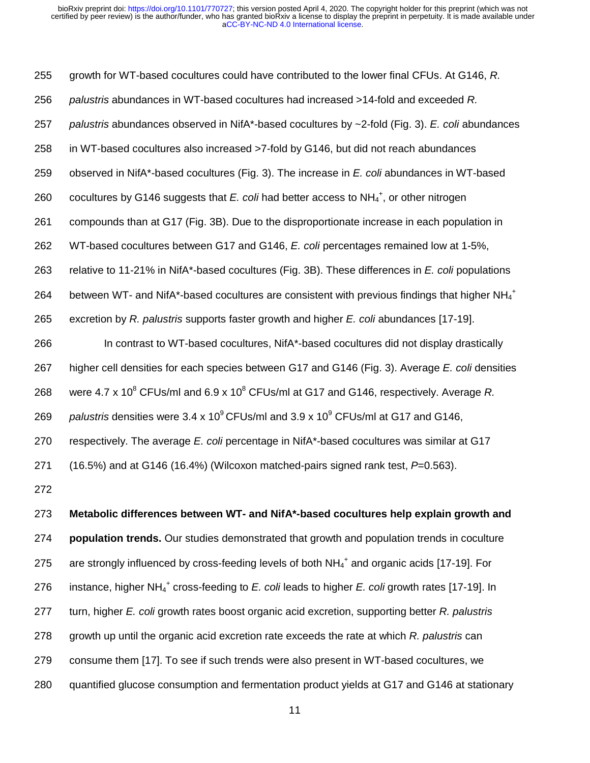255 growth for WT-based cocultures could have contributed to the lower final CFUs. At G146, *R.*  256 *palustris* abundances in WT-based cocultures had increased >14-fold and exceeded *R.*  257 *palustris* abundances observed in NifA\*-based cocultures by ~2-fold (Fig. 3). *E. coli* abundances 258 in WT-based cocultures also increased >7-fold by G146, but did not reach abundances 259 observed in NifA\*-based cocultures (Fig. 3). The increase in *E. coli* abundances in WT-based 260 cocultures by G146 suggests that  $E$ . coli had better access to  $NH_4^+$ , or other nitrogen 261 compounds than at G17 (Fig. 3B). Due to the disproportionate increase in each population in 262 WT-based cocultures between G17 and G146, *E. coli* percentages remained low at 1-5%, 263 relative to 11-21% in NifA\*-based cocultures (Fig. 3B). These differences in *E. coli* populations 264 between WT- and NifA\*-based cocultures are consistent with previous findings that higher NH<sub>4</sub><sup>+</sup> 265 excretion by *R. palustris* supports faster growth and higher *E. coli* abundances [17-19]. 266 In contrast to WT-based cocultures, NifA\*-based cocultures did not display drastically 267 higher cell densities for each species between G17 and G146 (Fig. 3). Average *E. coli* densities 268 vere 4.7 x 10<sup>8</sup> CFUs/ml and 6.9 x 10<sup>8</sup> CFUs/ml at G17 and G146, respectively. Average R. 269 palustris densities were 3.4 x 10<sup>9</sup> CFUs/ml and 3.9 x 10<sup>9</sup> CFUs/ml at G17 and G146, 270 respectively. The average *E. coli* percentage in NifA\*-based cocultures was similar at G17 271 (16.5%) and at G146 (16.4%) (Wilcoxon matched-pairs signed rank test, *P*=0.563). 272 273 **Metabolic differences between WT- and NifA\*-based cocultures help explain growth and** 

274 **population trends.** Our studies demonstrated that growth and population trends in coculture 275 are strongly influenced by cross-feeding levels of both  $NH_4{}^+$  and organic acids [17-19]. For 276 instance, higher NH<sub>4</sub><sup>+</sup> cross-feeding to *E. coli* leads to higher *E. coli* growth rates [17-19]. In 277 turn, higher *E. coli* growth rates boost organic acid excretion, supporting better *R. palustris* 278 growth up until the organic acid excretion rate exceeds the rate at which *R. palustris* can 279 consume them [17]. To see if such trends were also present in WT-based cocultures, we 280 quantified glucose consumption and fermentation product yields at G17 and G146 at stationary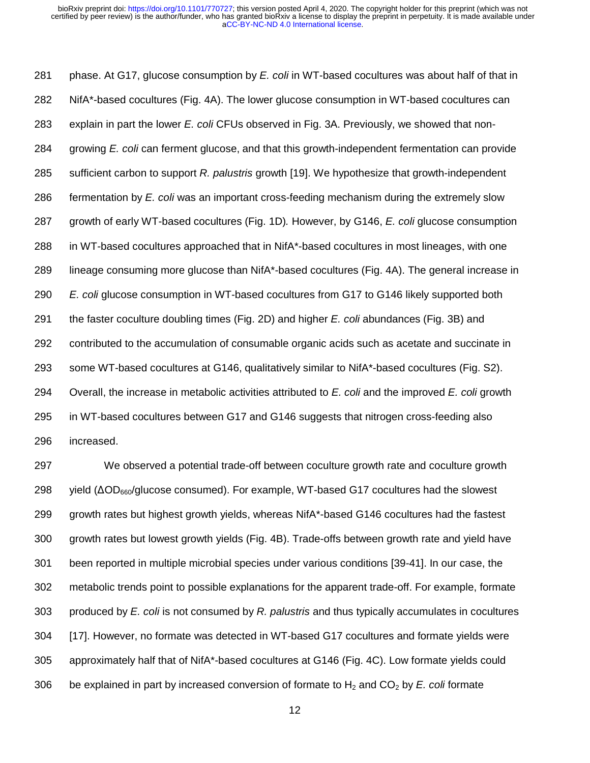281 phase. At G17, glucose consumption by *E. coli* in WT-based cocultures was about half of that in 282 NifA\*-based cocultures (Fig. 4A). The lower glucose consumption in WT-based cocultures can 283 explain in part the lower *E. coli* CFUs observed in Fig. 3A. Previously, we showed that non-284 growing *E. coli* can ferment glucose, and that this growth-independent fermentation can provide 285 sufficient carbon to support *R. palustris* growth [19]. We hypothesize that growth-independent 286 fermentation by *E. coli* was an important cross-feeding mechanism during the extremely slow 287 growth of early WT-based cocultures (Fig. 1D)*.* However, by G146, *E. coli* glucose consumption 288 in WT-based cocultures approached that in NifA\*-based cocultures in most lineages, with one 289 lineage consuming more glucose than NifA\*-based cocultures (Fig. 4A). The general increase in 290 *E. coli* glucose consumption in WT-based cocultures from G17 to G146 likely supported both 291 the faster coculture doubling times (Fig. 2D) and higher *E. coli* abundances (Fig. 3B) and 292 contributed to the accumulation of consumable organic acids such as acetate and succinate in 293 some WT-based cocultures at G146, qualitatively similar to NifA\*-based cocultures (Fig. S2). 294 Overall, the increase in metabolic activities attributed to *E. coli* and the improved *E. coli* growth 295 in WT-based cocultures between G17 and G146 suggests that nitrogen cross-feeding also 296 increased.

297 We observed a potential trade-off between coculture growth rate and coculture growth 298 yield  $(ΔOD<sub>660</sub>/glucose consumed)$ . For example, WT-based G17 cocultures had the slowest 299 growth rates but highest growth yields, whereas NifA\*-based G146 cocultures had the fastest 300 growth rates but lowest growth yields (Fig. 4B). Trade-offs between growth rate and yield have 301 been reported in multiple microbial species under various conditions [39-41]. In our case, the 302 metabolic trends point to possible explanations for the apparent trade-off. For example, formate 303 produced by *E. coli* is not consumed by *R. palustris* and thus typically accumulates in cocultures 304 [17]. However, no formate was detected in WT-based G17 cocultures and formate yields were 305 approximately half that of NifA\*-based cocultures at G146 (Fig. 4C). Low formate yields could 306 be explained in part by increased conversion of formate to H2 and CO2 by *E. coli* formate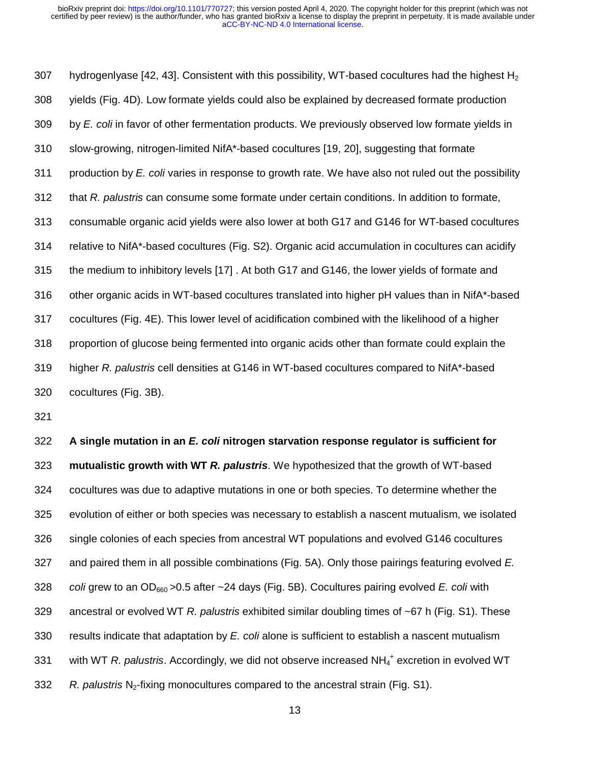307 hydrogenlyase [42, 43]. Consistent with this possibility, WT-based cocultures had the highest  $H_2$ 308 yields (Fig. 4D). Low formate yields could also be explained by decreased formate production 309 by *E. coli* in favor of other fermentation products. We previously observed low formate yields in 310 slow-growing, nitrogen-limited NifA\*-based cocultures [19, 20], suggesting that formate 311 production by *E. coli* varies in response to growth rate. We have also not ruled out the possibility 312 that *R. palustris* can consume some formate under certain conditions. In addition to formate, 313 consumable organic acid yields were also lower at both G17 and G146 for WT-based cocultures 314 relative to NifA\*-based cocultures (Fig. S2). Organic acid accumulation in cocultures can acidify 315 the medium to inhibitory levels [17] . At both G17 and G146, the lower yields of formate and 316 other organic acids in WT-based cocultures translated into higher pH values than in NifA\*-based 317 cocultures (Fig. 4E). This lower level of acidification combined with the likelihood of a higher 318 proportion of glucose being fermented into organic acids other than formate could explain the 319 higher *R. palustris* cell densities at G146 in WT-based cocultures compared to NifA\*-based 320 cocultures (Fig. 3B).

321

322 **A single mutation in an** *E. coli* **nitrogen starvation response regulator is sufficient for**  323 **mutualistic growth with WT** *R. palustris*. We hypothesized that the growth of WT-based 324 cocultures was due to adaptive mutations in one or both species. To determine whether the 325 evolution of either or both species was necessary to establish a nascent mutualism, we isolated 326 single colonies of each species from ancestral WT populations and evolved G146 cocultures 327 and paired them in all possible combinations (Fig. 5A). Only those pairings featuring evolved *E.*  328 *coli* grew to an OD660 >0.5 after ~24 days (Fig. 5B). Cocultures pairing evolved *E. coli* with 329 ancestral or evolved WT *R. palustris* exhibited similar doubling times of ~67 h (Fig. S1). These 330 results indicate that adaptation by *E. coli* alone is sufficient to establish a nascent mutualism 331 with WT *R. palustris*. Accordingly, we did not observe increased NH<sub>4</sub><sup>+</sup> excretion in evolved WT 332 R. palustris N<sub>2</sub>-fixing monocultures compared to the ancestral strain (Fig. S1).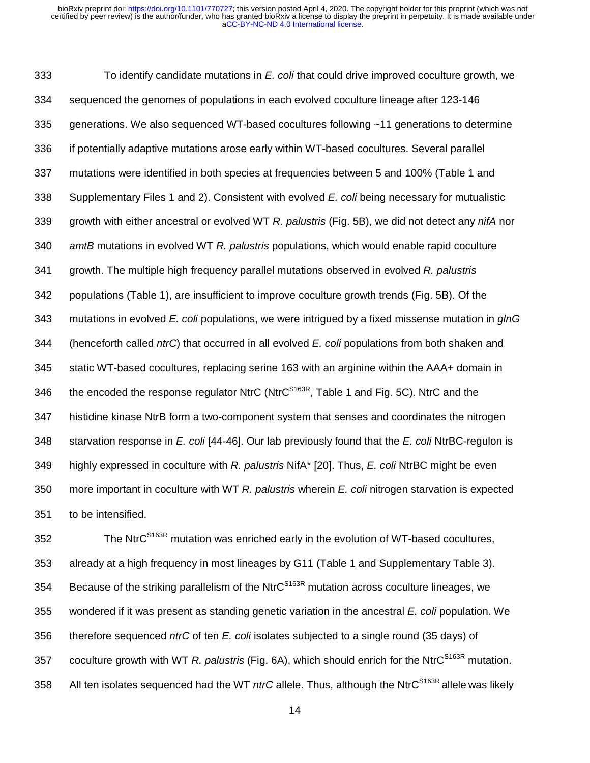333 To identify candidate mutations in *E. coli* that could drive improved coculture growth, we 334 sequenced the genomes of populations in each evolved coculture lineage after 123-146 335 generations. We also sequenced WT-based cocultures following ~11 generations to determine 336 if potentially adaptive mutations arose early within WT-based cocultures. Several parallel 337 mutations were identified in both species at frequencies between 5 and 100% (Table 1 and 338 Supplementary Files 1 and 2). Consistent with evolved *E. coli* being necessary for mutualistic 339 growth with either ancestral or evolved WT *R. palustris* (Fig. 5B), we did not detect any *nifA* nor 340 *amtB* mutations in evolved WT *R. palustris* populations, which would enable rapid coculture 341 growth. The multiple high frequency parallel mutations observed in evolved *R. palustris* 342 populations (Table 1), are insufficient to improve coculture growth trends (Fig. 5B). Of the 343 mutations in evolved *E. coli* populations, we were intrigued by a fixed missense mutation in *glnG* 344 (henceforth called *ntrC*) that occurred in all evolved *E. coli* populations from both shaken and 345 static WT-based cocultures, replacing serine 163 with an arginine within the AAA+ domain in 346 the encoded the response regulator NtrC (NtrC $^{S163R}$ , Table 1 and Fig. 5C). NtrC and the 347 histidine kinase NtrB form a two-component system that senses and coordinates the nitrogen 348 starvation response in *E. coli* [44-46]. Our lab previously found that the *E. coli* NtrBC-regulon is 349 highly expressed in coculture with *R. palustris* NifA\* [20]. Thus, *E. coli* NtrBC might be even 350 more important in coculture with WT *R. palustris* wherein *E. coli* nitrogen starvation is expected 351 to be intensified.

352 The NtrC<sup>S163R</sup> mutation was enriched early in the evolution of WT-based cocultures, 353 already at a high frequency in most lineages by G11 (Table 1 and Supplementary Table 3). 354 Because of the striking parallelism of the Ntr $C^{S163R}$  mutation across coculture lineages, we 355 wondered if it was present as standing genetic variation in the ancestral *E. coli* population. We 356 therefore sequenced *ntrC* of ten *E. coli* isolates subjected to a single round (35 days) of 357 coculture growth with WT *R. palustris* (Fig. 6A), which should enrich for the NtrC<sup>S163R</sup> mutation. 358 All ten isolates sequenced had the WT *ntrC* allele. Thus, although the NtrC<sup>S163R</sup> allele was likely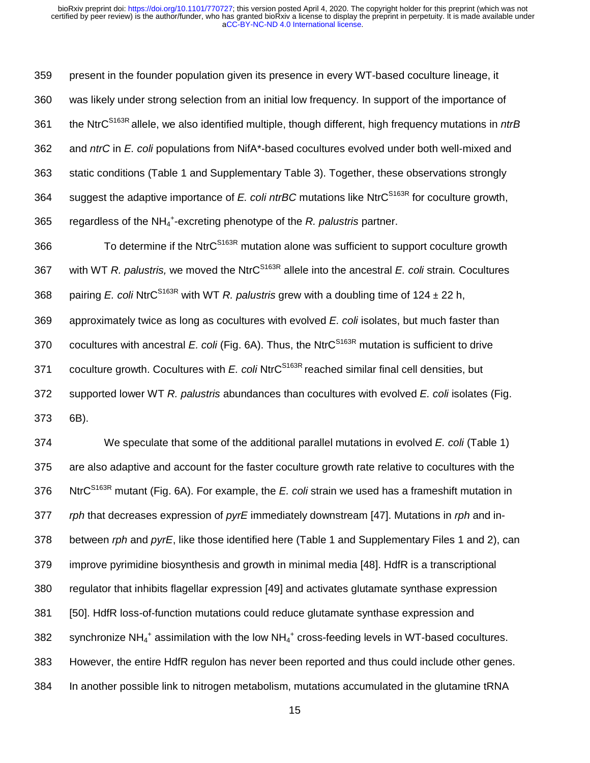359 present in the founder population given its presence in every WT-based coculture lineage, it 360 was likely under strong selection from an initial low frequency. In support of the importance of 361 the NtrC<sup>S163R</sup> allele, we also identified multiple, though different, high frequency mutations in *ntrB* 362 and *ntrC* in *E. coli* populations from NifA\*-based cocultures evolved under both well-mixed and 363 static conditions (Table 1 and Supplementary Table 3). Together, these observations strongly 364 suggest the adaptive importance of *E. coli ntrBC* mutations like NtrC<sup>S163R</sup> for coculture growth, 365 regardless of the NH<sub>4</sub><sup>+</sup>-excreting phenotype of the *R. palustris* partner.

366 To determine if the NtrC<sup>S163R</sup> mutation alone was sufficient to support coculture growth 367 with WT *R. palustris,* we moved the NtrC<sup>S163R</sup> allele into the ancestral *E. coli* strain. Cocultures 368 pairing *E. coli* NtrC<sup>S163R</sup> with WT *R. palustris* grew with a doubling time of 124 ± 22 h, 369 approximately twice as long as cocultures with evolved *E. coli* isolates, but much faster than 370 cocultures with ancestral *E. coli* (Fig. 6A). Thus, the NtrC<sup>S163R</sup> mutation is sufficient to drive 371 coculture growth. Cocultures with *E. coli* NtrC<sup>S163R</sup> reached similar final cell densities, but 372 supported lower WT *R. palustris* abundances than cocultures with evolved *E. coli* isolates (Fig. 373 6B).

374 We speculate that some of the additional parallel mutations in evolved *E. coli* (Table 1) 375 are also adaptive and account for the faster coculture growth rate relative to cocultures with the 376 NtrC<sup>S163R</sup> mutant (Fig. 6A). For example, the *E. coli* strain we used has a frameshift mutation in 377 *rph* that decreases expression of *pyrE* immediately downstream [47]. Mutations in *rph* and in-378 between *rph* and *pyrE*, like those identified here (Table 1 and Supplementary Files 1 and 2), can 379 improve pyrimidine biosynthesis and growth in minimal media [48]. HdfR is a transcriptional 380 regulator that inhibits flagellar expression [49] and activates glutamate synthase expression 381 [50]. HdfR loss-of-function mutations could reduce glutamate synthase expression and 382 synchronize NH<sub>4</sub><sup>+</sup> assimilation with the low NH<sub>4</sub><sup>+</sup> cross-feeding levels in WT-based cocultures. 383 However, the entire HdfR regulon has never been reported and thus could include other genes. 384 In another possible link to nitrogen metabolism, mutations accumulated in the glutamine tRNA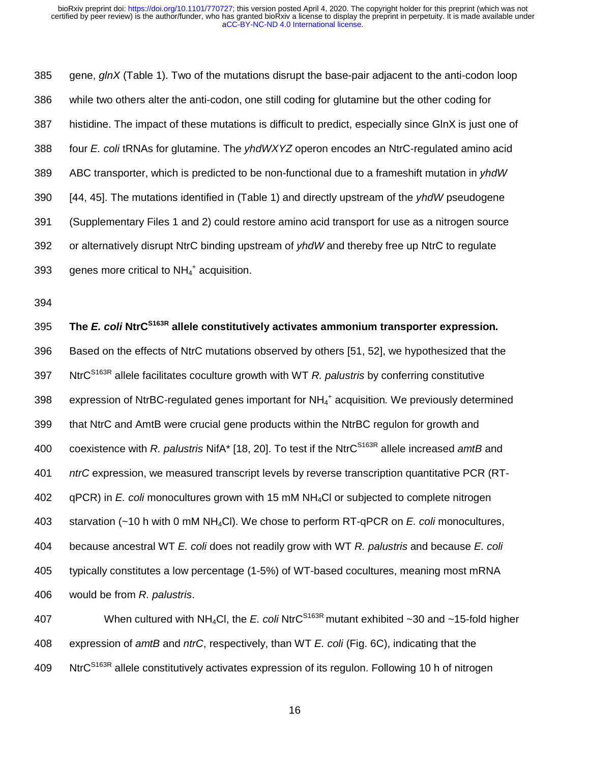385 gene, *glnX* (Table 1). Two of the mutations disrupt the base-pair adjacent to the anti-codon loop 386 while two others alter the anti-codon, one still coding for glutamine but the other coding for 387 histidine. The impact of these mutations is difficult to predict, especially since GlnX is just one of 388 four *E. coli* tRNAs for glutamine. The *yhdWXYZ* operon encodes an NtrC-regulated amino acid 389 ABC transporter, which is predicted to be non-functional due to a frameshift mutation in *yhdW*  390 [44, 45]. The mutations identified in (Table 1) and directly upstream of the *yhdW* pseudogene 391 (Supplementary Files 1 and 2) could restore amino acid transport for use as a nitrogen source 392 or alternatively disrupt NtrC binding upstream of *yhdW* and thereby free up NtrC to regulate 393 genes more critical to  $NH_4^+$  acquisition.

394

**The** *E. coli* **NtrCS163R** 395 **allele constitutively activates ammonium transporter expression***.*  396 Based on the effects of NtrC mutations observed by others [51, 52], we hypothesized that the NtrCS163R 397 allele facilitates coculture growth with WT *R. palustris* by conferring constitutive 398 expression of NtrBC-regulated genes important for NH<sub>4</sub><sup>+</sup> acquisition. We previously determined 399 that NtrC and AmtB were crucial gene products within the NtrBC regulon for growth and 400 coexistence with *R. palustris* NifA<sup>\*</sup> [18, 20]. To test if the NtrC<sup>S163R</sup> allele increased *amtB* and 401 *ntrC* expression, we measured transcript levels by reverse transcription quantitative PCR (RT-402 qPCR) in *E. coli* monocultures grown with 15 mM NH4Cl or subjected to complete nitrogen 403 starvation (~10 h with 0 mM NH4Cl). We chose to perform RT-qPCR on *E. coli* monocultures, 404 because ancestral WT *E. coli* does not readily grow with WT *R. palustris* and because *E. coli* 405 typically constitutes a low percentage (1-5%) of WT-based cocultures, meaning most mRNA 406 would be from *R. palustris*.

407 When cultured with NH<sub>4</sub>Cl, the *E. coli* NtrC<sup>S163R</sup> mutant exhibited ~30 and ~15-fold higher 408 expression of *amtB* and *ntrC*, respectively, than WT *E. coli* (Fig. 6C), indicating that the 409 NtrC<sup>S163R</sup> allele constitutively activates expression of its regulon. Following 10 h of nitrogen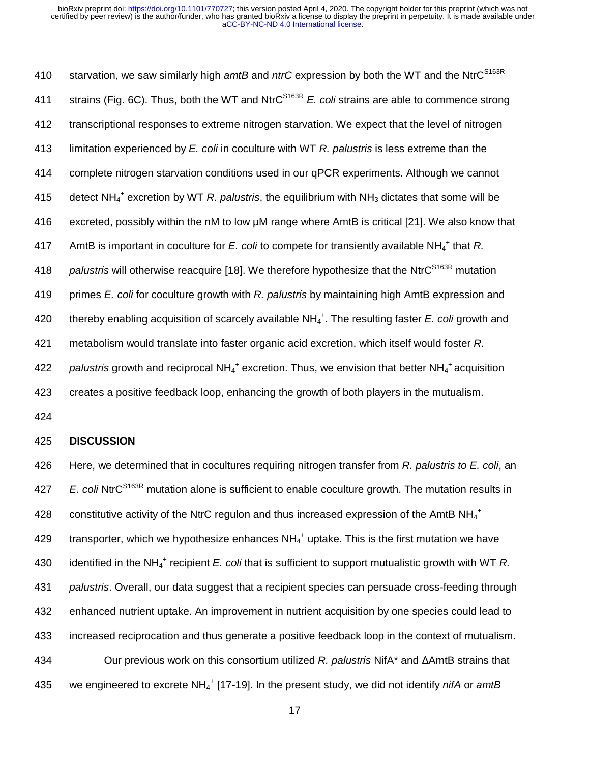starvation, we saw similarly high *amtB* and *ntrC* expression by both the WT and the NtrCS163R 410 411 strains (Fig. 6C). Thus, both the WT and NtrC<sup>S163R</sup> E. coli strains are able to commence strong 412 transcriptional responses to extreme nitrogen starvation. We expect that the level of nitrogen 413 limitation experienced by *E. coli* in coculture with WT *R. palustris* is less extreme than the 414 complete nitrogen starvation conditions used in our qPCR experiments. Although we cannot 415 detect NH<sub>4</sub><sup>+</sup> excretion by WT *R. palustris*, the equilibrium with NH<sub>3</sub> dictates that some will be 416 excreted, possibly within the nM to low µM range where AmtB is critical [21]. We also know that 417 AmtB is important in coculture for E. coli to compete for transiently available NH<sub>4</sub><sup>+</sup> that R. 418 palustris will otherwise reacquire [18]. We therefore hypothesize that the NtrC<sup>S163R</sup> mutation 419 primes *E. coli* for coculture growth with *R. palustris* by maintaining high AmtB expression and 420 thereby enabling acquisition of scarcely available NH<sub>4</sub><sup>+</sup>. The resulting faster *E. coli* growth and 421 metabolism would translate into faster organic acid excretion, which itself would foster *R.*  422 palustris growth and reciprocal NH<sub>4</sub><sup>+</sup> excretion. Thus, we envision that better NH<sub>4</sub><sup>+</sup> acquisition 423 creates a positive feedback loop, enhancing the growth of both players in the mutualism.

424

#### 425 **DISCUSSION**

426 Here, we determined that in cocultures requiring nitrogen transfer from *R. palustris to E. coli*, an 427 E. coli NtrC<sup>S163R</sup> mutation alone is sufficient to enable coculture growth. The mutation results in 428 constitutive activity of the NtrC regulon and thus increased expression of the AmtB NH<sub>4</sub><sup>+</sup> 429  $\;\;$  transporter, which we hypothesize enhances NH<sub>4</sub><sup>+</sup> uptake. This is the first mutation we have 430 identified in the NH<sub>4</sub><sup>+</sup> recipient *E. coli* that is sufficient to support mutualistic growth with WT *R.* 431 *palustris*. Overall, our data suggest that a recipient species can persuade cross-feeding through 432 enhanced nutrient uptake. An improvement in nutrient acquisition by one species could lead to 433 increased reciprocation and thus generate a positive feedback loop in the context of mutualism. 434 Our previous work on this consortium utilized *R. palustris* NifA\* and ΔAmtB strains that 435 we engineered to excrete NH<sub>4</sub><sup>+</sup> [17-19]. In the present study, we did not identify *nifA* or *amtB*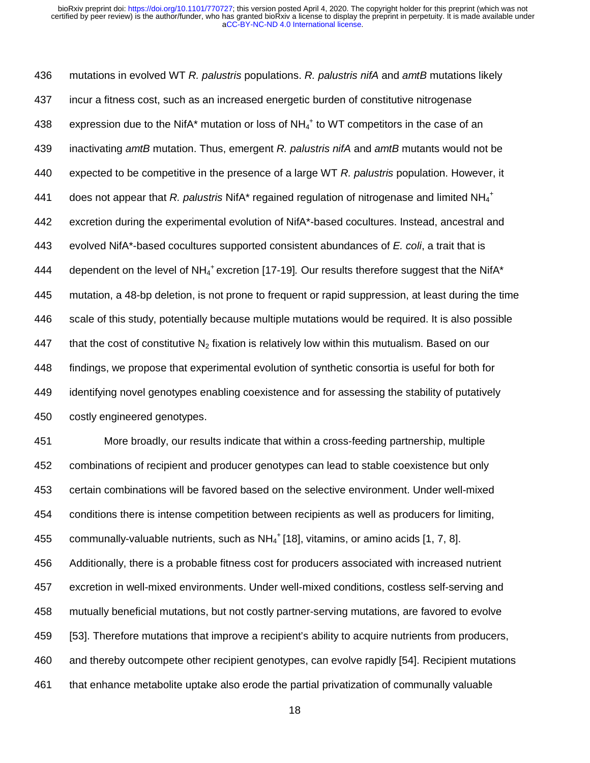436 mutations in evolved WT *R. palustris* populations. *R. palustris nifA* and *amtB* mutations likely 437 incur a fitness cost, such as an increased energetic burden of constitutive nitrogenase 438 expression due to the NifA<sup>\*</sup> mutation or loss of NH<sub>4</sub><sup>+</sup> to WT competitors in the case of an 439 inactivating *amtB* mutation. Thus, emergent *R. palustris nifA* and *amtB* mutants would not be 440 expected to be competitive in the presence of a large WT *R. palustris* population. However, it 441 does not appear that *R. palustris* NifA<sup>\*</sup> regained regulation of nitrogenase and limited NH<sub>4</sub><sup>+</sup> 442 excretion during the experimental evolution of NifA\*-based cocultures. Instead, ancestral and 443 evolved NifA\*-based cocultures supported consistent abundances of *E. coli*, a trait that is 444 dependent on the level of NH<sub>4</sub><sup>+</sup> excretion [17-19]. Our results therefore suggest that the NifA<sup>\*</sup> 445 mutation, a 48-bp deletion, is not prone to frequent or rapid suppression, at least during the time 446 scale of this study, potentially because multiple mutations would be required. It is also possible 447 that the cost of constitutive  $N_2$  fixation is relatively low within this mutualism. Based on our 448 findings, we propose that experimental evolution of synthetic consortia is useful for both for 449 identifying novel genotypes enabling coexistence and for assessing the stability of putatively 450 costly engineered genotypes.

451 More broadly, our results indicate that within a cross-feeding partnership, multiple 452 combinations of recipient and producer genotypes can lead to stable coexistence but only 453 certain combinations will be favored based on the selective environment. Under well-mixed 454 conditions there is intense competition between recipients as well as producers for limiting, 455 communally-valuable nutrients, such as  $NH_4^+$  [18], vitamins, or amino acids [1, 7, 8]. 456 Additionally, there is a probable fitness cost for producers associated with increased nutrient 457 excretion in well-mixed environments. Under well-mixed conditions, costless self-serving and 458 mutually beneficial mutations, but not costly partner-serving mutations, are favored to evolve 459 [53]. Therefore mutations that improve a recipient's ability to acquire nutrients from producers, 460 and thereby outcompete other recipient genotypes, can evolve rapidly [54]. Recipient mutations 461 that enhance metabolite uptake also erode the partial privatization of communally valuable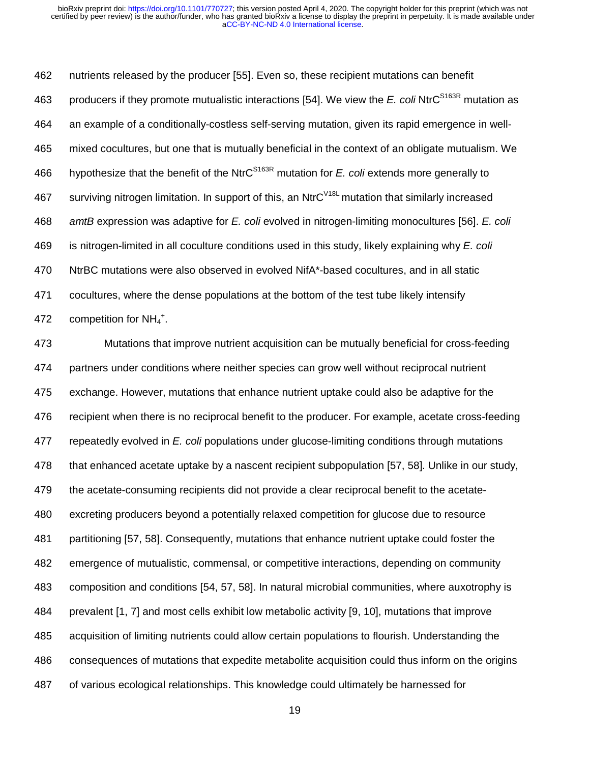462 nutrients released by the producer [55]. Even so, these recipient mutations can benefit 463 producers if they promote mutualistic interactions [54]. We view the *E. coli* NtrC<sup>S163R</sup> mutation as 464 an example of a conditionally-costless self-serving mutation, given its rapid emergence in well-465 mixed cocultures, but one that is mutually beneficial in the context of an obligate mutualism. We 466 hypothesize that the benefit of the NtrC<sup>S163R</sup> mutation for *E. coli* extends more generally to 467 surviving nitrogen limitation. In support of this, an NtrC<sup> $V18L$ </sup> mutation that similarly increased 468 *amtB* expression was adaptive for *E. coli* evolved in nitrogen-limiting monocultures [56]. *E. coli* 469 is nitrogen-limited in all coculture conditions used in this study, likely explaining why *E. coli*  470 NtrBC mutations were also observed in evolved NifA\*-based cocultures, and in all static 471 cocultures, where the dense populations at the bottom of the test tube likely intensify 472 competition for  $NH_4^+$ .

473 Mutations that improve nutrient acquisition can be mutually beneficial for cross-feeding 474 partners under conditions where neither species can grow well without reciprocal nutrient 475 exchange. However, mutations that enhance nutrient uptake could also be adaptive for the 476 recipient when there is no reciprocal benefit to the producer. For example, acetate cross-feeding 477 repeatedly evolved in *E. coli* populations under glucose-limiting conditions through mutations 478 that enhanced acetate uptake by a nascent recipient subpopulation [57, 58]. Unlike in our study, 479 the acetate-consuming recipients did not provide a clear reciprocal benefit to the acetate-480 excreting producers beyond a potentially relaxed competition for glucose due to resource 481 partitioning [57, 58]. Consequently, mutations that enhance nutrient uptake could foster the 482 emergence of mutualistic, commensal, or competitive interactions, depending on community 483 composition and conditions [54, 57, 58]. In natural microbial communities, where auxotrophy is 484 prevalent [1, 7] and most cells exhibit low metabolic activity [9, 10], mutations that improve 485 acquisition of limiting nutrients could allow certain populations to flourish. Understanding the 486 consequences of mutations that expedite metabolite acquisition could thus inform on the origins 487 of various ecological relationships. This knowledge could ultimately be harnessed for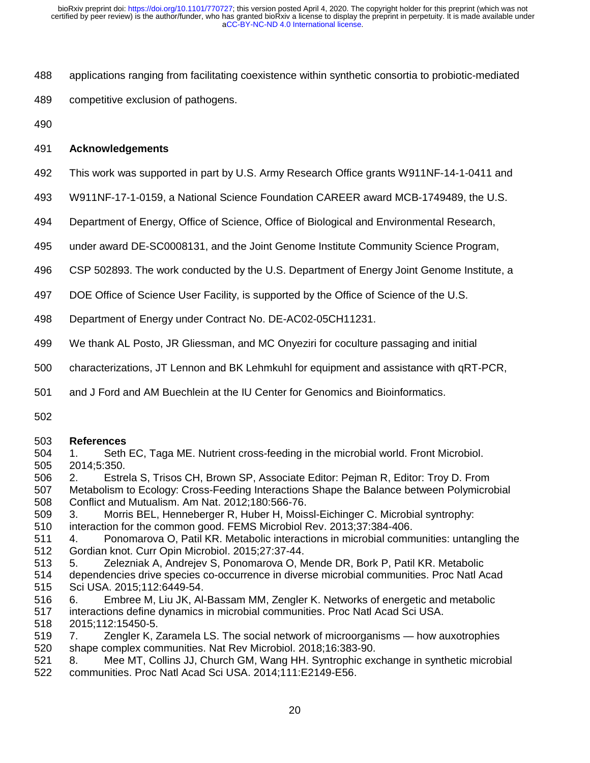- 488 applications ranging from facilitating coexistence within synthetic consortia to probiotic-mediated
- 489 competitive exclusion of pathogens.
- 490

# 491 **Acknowledgements**

- 492 This work was supported in part by U.S. Army Research Office grants W911NF-14-1-0411 and
- 493 W911NF-17-1-0159, a National Science Foundation CAREER award MCB-1749489, the U.S.
- 494 Department of Energy, Office of Science, Office of Biological and Environmental Research,
- 495 under award DE-SC0008131, and the Joint Genome Institute Community Science Program,
- 496 CSP 502893. The work conducted by the U.S. Department of Energy Joint Genome Institute, a
- 497 DOE Office of Science User Facility, is supported by the Office of Science of the U.S.
- 498 Department of Energy under Contract No. DE-AC02-05CH11231.
- 499 We thank AL Posto, JR Gliessman, and MC Onyeziri for coculture passaging and initial
- 500 characterizations, JT Lennon and BK Lehmkuhl for equipment and assistance with qRT-PCR,
- 501 and J Ford and AM Buechlein at the IU Center for Genomics and Bioinformatics.
- 502

## 503 **References**

- 504 1. Seth EC, Taga ME. Nutrient cross-feeding in the microbial world. Front Microbiol. 505 2014;5:350.
- 506 2. Estrela S, Trisos CH, Brown SP, Associate Editor: Pejman R, Editor: Troy D. From 507 Metabolism to Ecology: Cross-Feeding Interactions Shape the Balance between Polymicrobial
- 508 Conflict and Mutualism. Am Nat. 2012;180:566-76.
- 509 3. Morris BEL, Henneberger R, Huber H, Moissl-Eichinger C. Microbial syntrophy:
- 510 interaction for the common good. FEMS Microbiol Rev. 2013;37:384-406.
- 511 4. Ponomarova O, Patil KR. Metabolic interactions in microbial communities: untangling the 512 Gordian knot. Curr Opin Microbiol. 2015;27:37-44.
- 513 5. Zelezniak A, Andrejev S, Ponomarova O, Mende DR, Bork P, Patil KR. Metabolic
- 514 dependencies drive species co-occurrence in diverse microbial communities. Proc Natl Acad 515 Sci USA. 2015;112:6449-54.
- 516 6. Embree M, Liu JK, Al-Bassam MM, Zengler K. Networks of energetic and metabolic
- 517 interactions define dynamics in microbial communities. Proc Natl Acad Sci USA.
- 518 2015;112:15450-5.
- 519 7. Zengler K, Zaramela LS. The social network of microorganisms how auxotrophies 520 shape complex communities. Nat Rev Microbiol. 2018;16:383-90.
- 521 8. Mee MT, Collins JJ, Church GM, Wang HH. Syntrophic exchange in synthetic microbial 522 communities. Proc Natl Acad Sci USA. 2014;111:E2149-E56.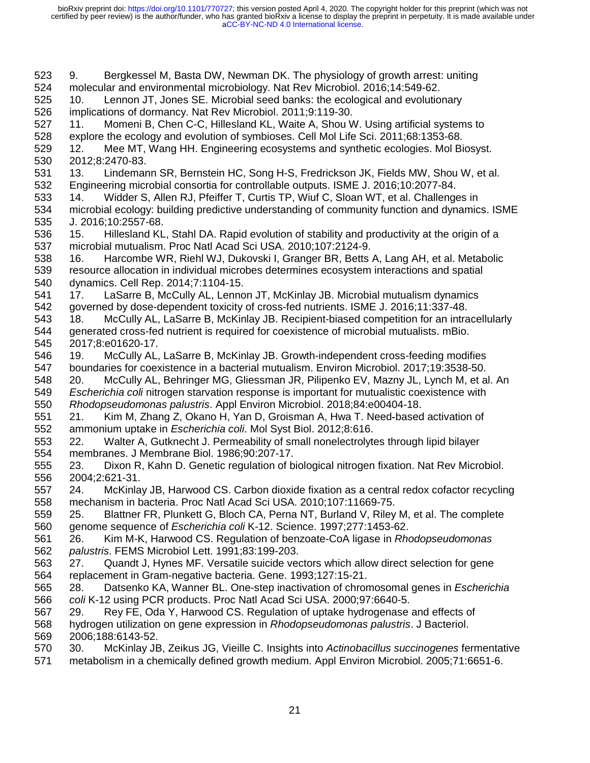523 9. Bergkessel M, Basta DW, Newman DK. The physiology of growth arrest: uniting 524 molecular and environmental microbiology. Nat Rev Microbiol. 2016;14:549-62. 525 10. Lennon JT, Jones SE. Microbial seed banks: the ecological and evolutionary 526 implications of dormancy. Nat Rev Microbiol. 2011;9:119-30. 527 11. Momeni B, Chen C-C, Hillesland KL, Waite A, Shou W. Using artificial systems to 528 explore the ecology and evolution of symbioses. Cell Mol Life Sci. 2011;68:1353-68. 529 12. Mee MT, Wang HH. Engineering ecosystems and synthetic ecologies. Mol Biosyst. 530 2012;8:2470-83. 531 13. Lindemann SR, Bernstein HC, Song H-S, Fredrickson JK, Fields MW, Shou W, et al. 532 Engineering microbial consortia for controllable outputs. ISME J. 2016;10:2077-84. 533 14. Widder S, Allen RJ, Pfeiffer T, Curtis TP, Wiuf C, Sloan WT, et al. Challenges in 534 microbial ecology: building predictive understanding of community function and dynamics. ISME 535 J. 2016;10:2557-68. 536 15. Hillesland KL, Stahl DA. Rapid evolution of stability and productivity at the origin of a 537 microbial mutualism. Proc Natl Acad Sci USA. 2010;107:2124-9. 538 16. Harcombe WR, Riehl WJ, Dukovski I, Granger BR, Betts A, Lang AH, et al. Metabolic 539 resource allocation in individual microbes determines ecosystem interactions and spatial 540 dynamics. Cell Rep. 2014;7:1104-15. 541 17. LaSarre B, McCully AL, Lennon JT, McKinlay JB. Microbial mutualism dynamics 542 governed by dose-dependent toxicity of cross-fed nutrients. ISME J. 2016;11:337-48. 543 18. McCully AL, LaSarre B, McKinlay JB. Recipient-biased competition for an intracellularly 544 generated cross-fed nutrient is required for coexistence of microbial mutualists. mBio. 545 2017;8:e01620-17. 546 19. McCully AL, LaSarre B, McKinlay JB. Growth-independent cross-feeding modifies 547 boundaries for coexistence in a bacterial mutualism. Environ Microbiol. 2017;19:3538-50. 548 20. McCully AL, Behringer MG, Gliessman JR, Pilipenko EV, Mazny JL, Lynch M, et al. An 549 *Escherichia coli* nitrogen starvation response is important for mutualistic coexistence with 550 *Rhodopseudomonas palustris*. Appl Environ Microbiol. 2018;84:e00404-18. 551 21. Kim M, Zhang Z, Okano H, Yan D, Groisman A, Hwa T. Need-based activation of<br>552 ammonium uptake in *Escherichia coli*. Mol Syst Biol. 2012;8:616.<br>553 22. Walter A, Gutknecht J. Permeability of small nonelectrolytes 552 ammonium uptake in *Escherichia coli*. Mol Syst Biol. 2012;8:616. 553 22. Walter A, Gutknecht J. Permeability of small nonelectrolytes through lipid bilayer 554 membranes. J Membrane Biol. 1986;90:207-17. 555 23. Dixon R, Kahn D. Genetic regulation of biological nitrogen fixation. Nat Rev Microbiol. 556 2004;2:621-31. 557 24. McKinlay JB, Harwood CS. Carbon dioxide fixation as a central redox cofactor recycling 558 mechanism in bacteria. Proc Natl Acad Sci USA. 2010;107:11669-75. 559 25. Blattner FR, Plunkett G, Bloch CA, Perna NT, Burland V, Riley M, et al. The complete 560 genome sequence of *Escherichia coli* K-12. Science. 1997;277:1453-62. 561 26. Kim M-K, Harwood CS. Regulation of benzoate-CoA ligase in *Rhodopseudomonas*  562 *palustris*. FEMS Microbiol Lett. 1991;83:199-203. 563 27. Quandt J, Hynes MF. Versatile suicide vectors which allow direct selection for gene 564 replacement in Gram-negative bacteria. Gene. 1993;127:15-21. 565 28. Datsenko KA, Wanner BL. One-step inactivation of chromosomal genes in *Escherichia*  566 *coli* K-12 using PCR products. Proc Natl Acad Sci USA. 2000;97:6640-5. 567 29. Rey FE, Oda Y, Harwood CS. Regulation of uptake hydrogenase and effects of 568 hydrogen utilization on gene expression in *Rhodopseudomonas palustris*. J Bacteriol. 569 2006;188:6143-52. 570 30. McKinlay JB, Zeikus JG, Vieille C. Insights into *Actinobacillus succinogenes* fermentative 571 metabolism in a chemically defined growth medium. Appl Environ Microbiol. 2005;71:6651-6.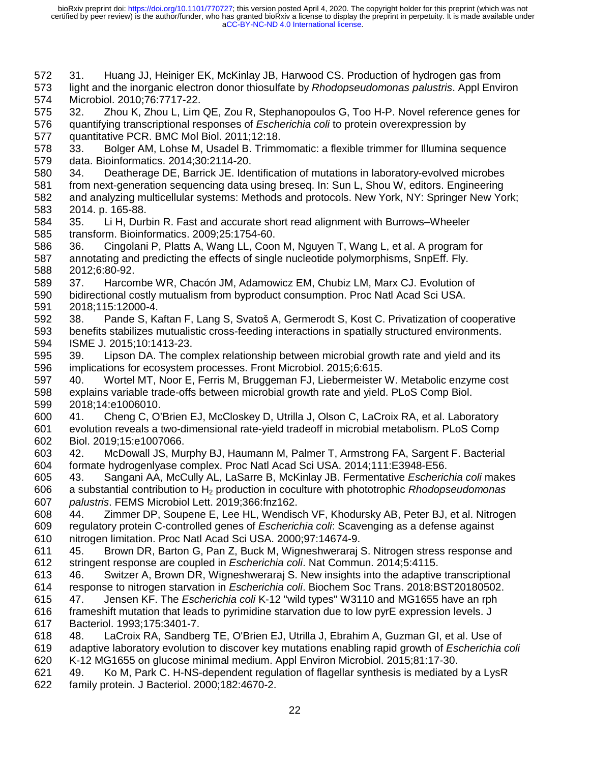572 31. Huang JJ, Heiniger EK, McKinlay JB, Harwood CS. Production of hydrogen gas from

573 light and the inorganic electron donor thiosulfate by *Rhodopseudomonas palustris*. Appl Environ 574 Microbiol. 2010;76:7717-22.

575 32. Zhou K, Zhou L, Lim QE, Zou R, Stephanopoulos G, Too H-P. Novel reference genes for 576 quantifying transcriptional responses of *Escherichia coli* to protein overexpression by 577 quantitative PCR. BMC Mol Biol. 2011;12:18.

578 33. Bolger AM, Lohse M, Usadel B. Trimmomatic: a flexible trimmer for Illumina sequence 579 data. Bioinformatics. 2014;30:2114-20.

580 34. Deatherage DE, Barrick JE. Identification of mutations in laboratory-evolved microbes

- 581 from next-generation sequencing data using breseq. In: Sun L, Shou W, editors. Engineering 582 and analyzing multicellular systems: Methods and protocols. New York, NY: Springer New York; 583 2014. p. 165-88.
- 584 35. Li H, Durbin R. Fast and accurate short read alignment with Burrows–Wheeler 585 transform. Bioinformatics. 2009;25:1754-60.

586 36. Cingolani P, Platts A, Wang LL, Coon M, Nguyen T, Wang L, et al. A program for 587 annotating and predicting the effects of single nucleotide polymorphisms, SnpEff. Fly. 588 2012;6:80-92.

589 37. Harcombe WR, Chacón JM, Adamowicz EM, Chubiz LM, Marx CJ. Evolution of

590 bidirectional costly mutualism from byproduct consumption. Proc Natl Acad Sci USA. 591 2018;115:12000-4.

- 592 38. Pande S, Kaftan F, Lang S, Svatoš A, Germerodt S, Kost C. Privatization of cooperative 593 benefits stabilizes mutualistic cross-feeding interactions in spatially structured environments. 594 ISME J. 2015;10:1413-23.
- 595 39. Lipson DA. The complex relationship between microbial growth rate and yield and its 596 implications for ecosystem processes. Front Microbiol. 2015;6:615.
- 597 40. Wortel MT, Noor E, Ferris M, Bruggeman FJ, Liebermeister W. Metabolic enzyme cost 598 explains variable trade-offs between microbial growth rate and yield. PLoS Comp Biol. 599 2018;14:e1006010.

600 41. Cheng C, O'Brien EJ, McCloskey D, Utrilla J, Olson C, LaCroix RA, et al. Laboratory 601 evolution reveals a two-dimensional rate-yield tradeoff in microbial metabolism. PLoS Comp 602 Biol. 2019;15:e1007066.

- 603 42. McDowall JS, Murphy BJ, Haumann M, Palmer T, Armstrong FA, Sargent F. Bacterial 604 formate hydrogenlyase complex. Proc Natl Acad Sci USA. 2014;111:E3948-E56.
- 605 43. Sangani AA, McCully AL, LaSarre B, McKinlay JB. Fermentative *Escherichia coli* makes 606 a substantial contribution to H2 production in coculture with phototrophic *Rhodopseudomonas*  607 *palustris*. FEMS Microbiol Lett. 2019;366:fnz162.

608 44. Zimmer DP, Soupene E, Lee HL, Wendisch VF, Khodursky AB, Peter BJ, et al. Nitrogen 609 regulatory protein C-controlled genes of *Escherichia coli*: Scavenging as a defense against 610 nitrogen limitation. Proc Natl Acad Sci USA. 2000;97:14674-9.

611 45. Brown DR, Barton G, Pan Z, Buck M, Wigneshweraraj S. Nitrogen stress response and 612 stringent response are coupled in *Escherichia coli*. Nat Commun. 2014;5:4115.

- 613 46. Switzer A, Brown DR, Wigneshweraraj S. New insights into the adaptive transcriptional 614 response to nitrogen starvation in *Escherichia coli*. Biochem Soc Trans. 2018:BST20180502.
- 615 47. Jensen KF. The *Escherichia coli* K-12 "wild types" W3110 and MG1655 have an rph
- 616 frameshift mutation that leads to pyrimidine starvation due to low pyrE expression levels. J 617 Bacteriol. 1993;175:3401-7.
- 618 48. LaCroix RA, Sandberg TE, O'Brien EJ, Utrilla J, Ebrahim A, Guzman GI, et al. Use of 619 adaptive laboratory evolution to discover key mutations enabling rapid growth of *Escherichia coli* 620 K-12 MG1655 on glucose minimal medium. Appl Environ Microbiol. 2015;81:17-30.
- 621 49. Ko M, Park C. H-NS-dependent regulation of flagellar synthesis is mediated by a LysR 622 family protein. J Bacteriol. 2000;182:4670-2.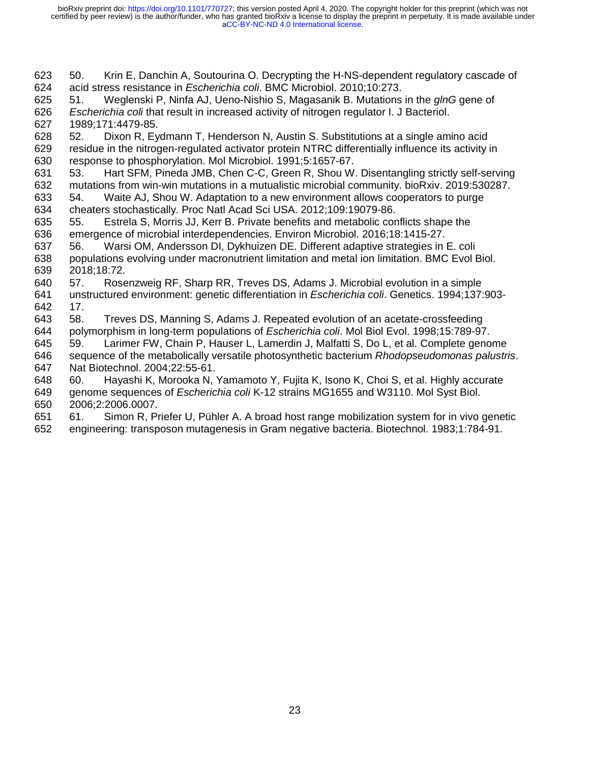623 50. Krin E, Danchin A, Soutourina O. Decrypting the H-NS-dependent regulatory cascade of 624 acid stress resistance in *Escherichia coli*. BMC Microbiol. 2010;10:273.

625 51. Weglenski P, Ninfa AJ, Ueno-Nishio S, Magasanik B. Mutations in the *glnG* gene of 626 *Escherichia coli* that result in increased activity of nitrogen regulator I. J Bacteriol. 627 1989;171:4479-85.

628 52. Dixon R, Eydmann T, Henderson N, Austin S. Substitutions at a single amino acid 629 residue in the nitrogen-regulated activator protein NTRC differentially influence its activity in 630 response to phosphorylation. Mol Microbiol. 1991;5:1657-67.

631 53. Hart SFM, Pineda JMB, Chen C-C, Green R, Shou W. Disentangling strictly self-serving 632 mutations from win-win mutations in a mutualistic microbial community. bioRxiv. 2019:530287.

- 633 54. Waite AJ, Shou W. Adaptation to a new environment allows cooperators to purge 634 cheaters stochastically. Proc Natl Acad Sci USA. 2012;109:19079-86.
- 635 55. Estrela S, Morris JJ, Kerr B. Private benefits and metabolic conflicts shape the 636 emergence of microbial interdependencies. Environ Microbiol. 2016;18:1415-27.
- 637 56. Warsi OM, Andersson DI, Dykhuizen DE. Different adaptive strategies in E. coli 638 populations evolving under macronutrient limitation and metal ion limitation. BMC Evol Biol. 639 2018;18:72.
- 640 57. Rosenzweig RF, Sharp RR, Treves DS, Adams J. Microbial evolution in a simple 641 unstructured environment: genetic differentiation in *Escherichia coli*. Genetics. 1994;137:903- 642 17.
- 643 58. Treves DS, Manning S, Adams J. Repeated evolution of an acetate-crossfeeding 644 polymorphism in long-term populations of *Escherichia coli*. Mol Biol Evol. 1998;15:789-97.
- 645 59. Larimer FW, Chain P, Hauser L, Lamerdin J, Malfatti S, Do L, et al. Complete genome 646 sequence of the metabolically versatile photosynthetic bacterium *Rhodopseudomonas palustris*. 647 Nat Biotechnol. 2004;22:55-61.
- 648 60. Hayashi K, Morooka N, Yamamoto Y, Fujita K, Isono K, Choi S, et al. Highly accurate

649 genome sequences of *Escherichia coli* K-12 strains MG1655 and W3110. Mol Syst Biol. 650 2006;2:2006.0007.

651 61. Simon R, Priefer U, Pühler A. A broad host range mobilization system for in vivo genetic 652 engineering: transposon mutagenesis in Gram negative bacteria. Biotechnol. 1983;1:784-91.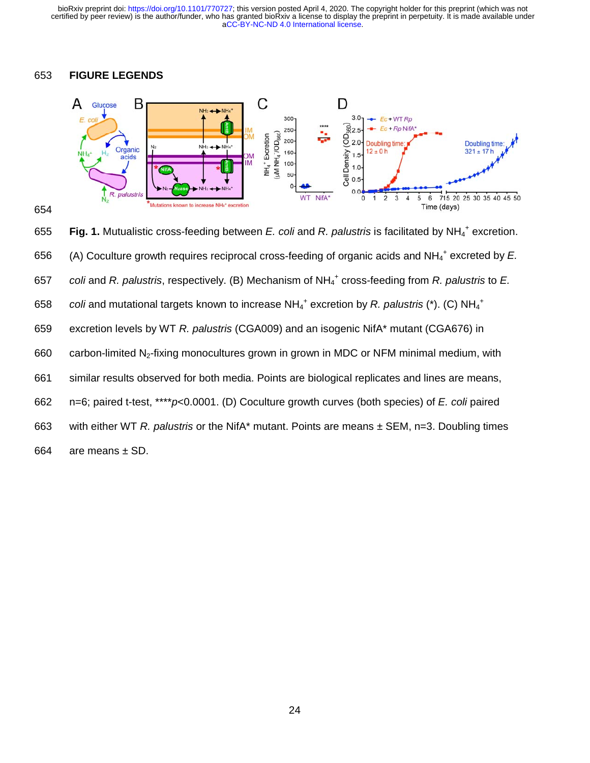## 653 **FIGURE LEGENDS**





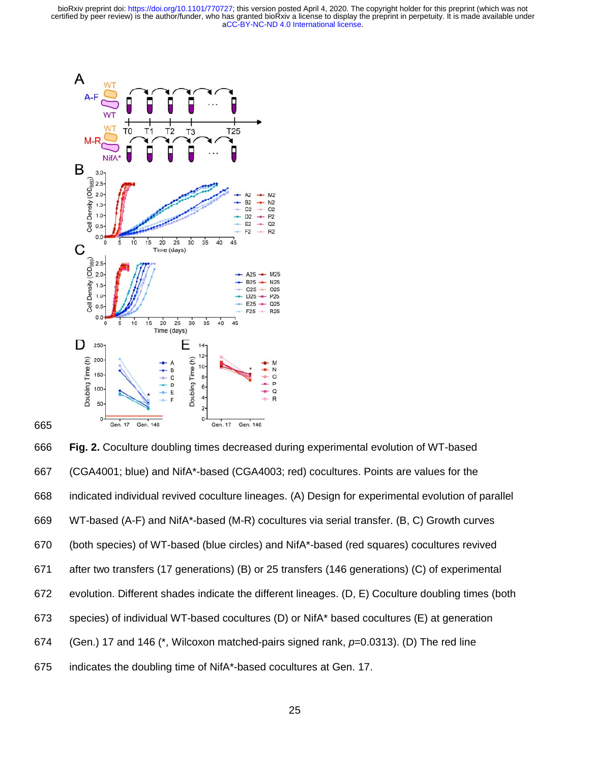

665

666 **Fig. 2.** Coculture doubling times decreased during experimental evolution of WT-based 667 (CGA4001; blue) and NifA\*-based (CGA4003; red) cocultures. Points are values for the 668 indicated individual revived coculture lineages. (A) Design for experimental evolution of parallel 669 WT-based (A-F) and NifA\*-based (M-R) cocultures via serial transfer. (B, C) Growth curves 670 (both species) of WT-based (blue circles) and NifA\*-based (red squares) cocultures revived 671 after two transfers (17 generations) (B) or 25 transfers (146 generations) (C) of experimental 672 evolution. Different shades indicate the different lineages. (D, E) Coculture doubling times (both 673 species) of individual WT-based cocultures (D) or NifA\* based cocultures (E) at generation 674 (Gen.) 17 and 146 (\*, Wilcoxon matched-pairs signed rank, *p*=0.0313). (D) The red line 675 indicates the doubling time of NifA\*-based cocultures at Gen. 17.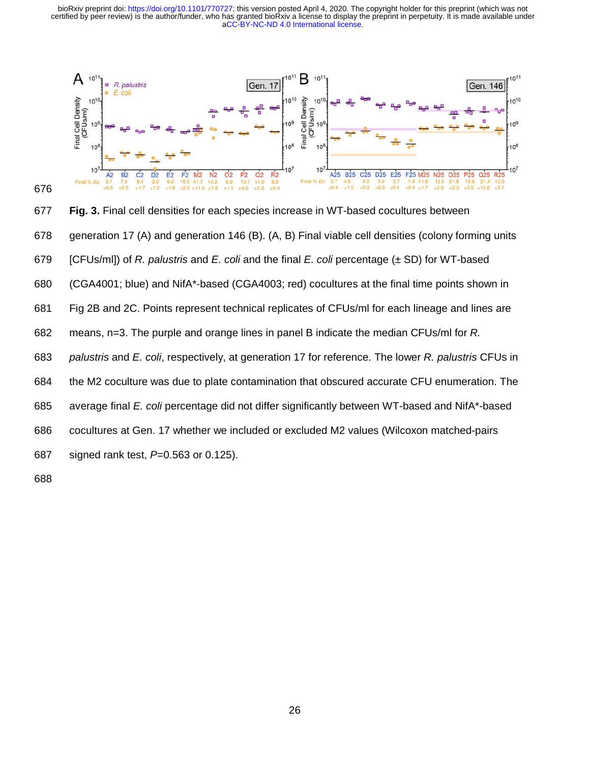[aCC-BY-NC-ND 4.0 International license.](http://creativecommons.org/licenses/by-nc-nd/4.0/) certified by peer review) is the author/funder, who has granted bioRxiv a license to display the preprint in perpetuity. It is made available under bioRxiv preprint doi: [https://doi.org/10.1101/770727;](https://doi.org/10.1101/770727) this version posted April 4, 2020. The copyright holder for this preprint (which was not





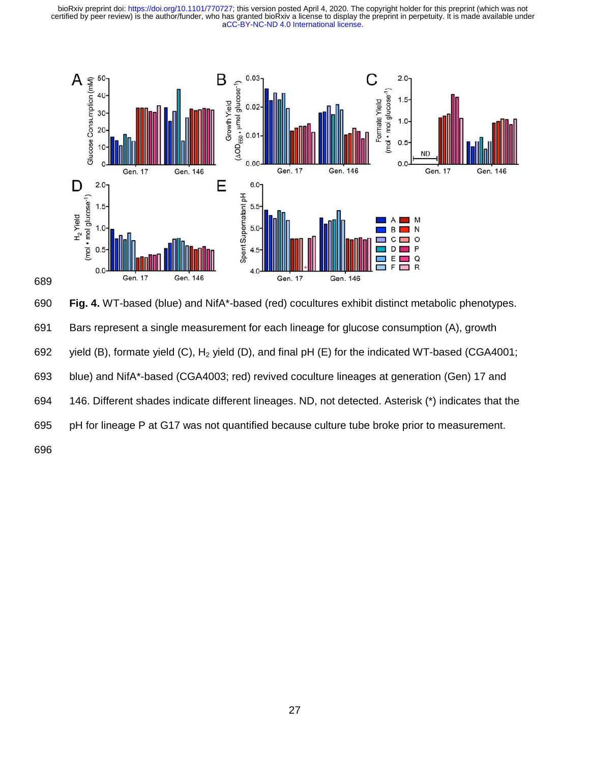

690 **Fig. 4.** WT-based (blue) and NifA\*-based (red) cocultures exhibit distinct metabolic phenotypes.

691 Bars represent a single measurement for each lineage for glucose consumption (A), growth

692 yield (B), formate yield (C),  $H_2$  yield (D), and final pH (E) for the indicated WT-based (CGA4001;

693 blue) and NifA\*-based (CGA4003; red) revived coculture lineages at generation (Gen) 17 and

694 146. Different shades indicate different lineages. ND, not detected. Asterisk (\*) indicates that the

695 pH for lineage P at G17 was not quantified because culture tube broke prior to measurement.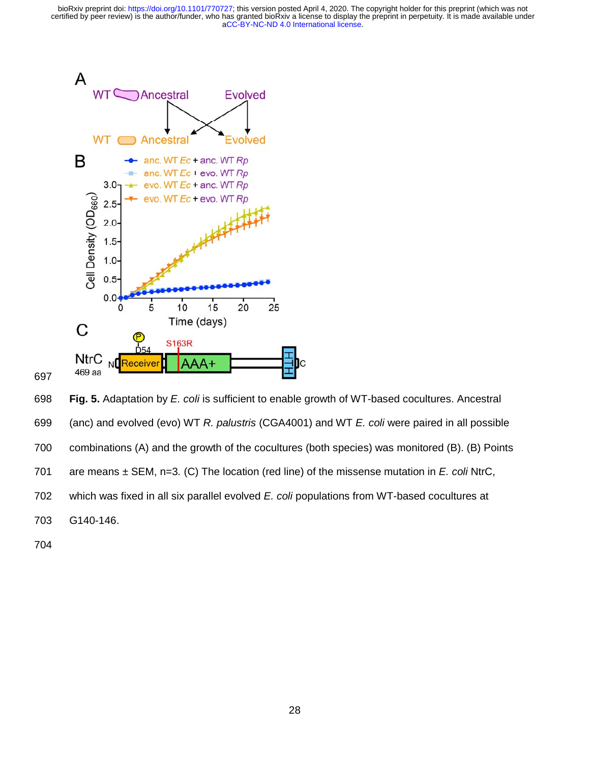

697

698 **Fig. 5.** Adaptation by *E. coli* is sufficient to enable growth of WT-based cocultures. Ancestral 699 (anc) and evolved (evo) WT *R. palustris* (CGA4001) and WT *E. coli* were paired in all possible 700 combinations (A) and the growth of the cocultures (both species) was monitored (B). (B) Points 701 are means ± SEM, n=3*.* (C) The location (red line) of the missense mutation in *E. coli* NtrC, 702 which was fixed in all six parallel evolved *E. coli* populations from WT-based cocultures at 703 G140-146.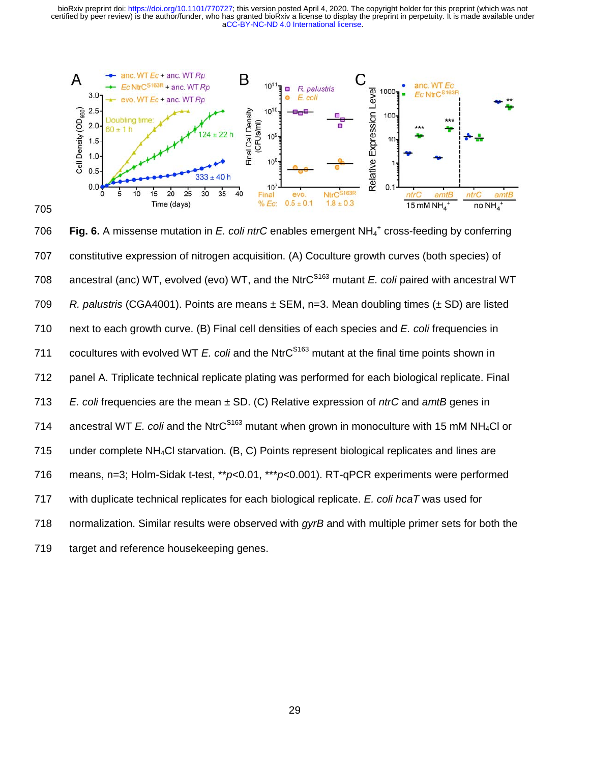[aCC-BY-NC-ND 4.0 International license.](http://creativecommons.org/licenses/by-nc-nd/4.0/) certified by peer review) is the author/funder, who has granted bioRxiv a license to display the preprint in perpetuity. It is made available under bioRxiv preprint doi: [https://doi.org/10.1101/770727;](https://doi.org/10.1101/770727) this version posted April 4, 2020. The copyright holder for this preprint (which was not



706 **Fig. 6.** A missense mutation in E. coli ntrC enables emergent NH<sub>4</sub><sup>+</sup> cross-feeding by conferring 707 constitutive expression of nitrogen acquisition. (A) Coculture growth curves (both species) of 708 ancestral (anc) WT, evolved (evo) WT, and the NtrC<sup>S163</sup> mutant *E. coli* paired with ancestral WT 709 *R. palustris* (CGA4001). Points are means ± SEM, n=3. Mean doubling times (± SD) are listed 710 next to each growth curve. (B) Final cell densities of each species and *E. coli* frequencies in 711 cocultures with evolved WT *E. coli* and the NtrC<sup>S163</sup> mutant at the final time points shown in 712 panel A. Triplicate technical replicate plating was performed for each biological replicate. Final 713 *E. coli* frequencies are the mean ± SD. (C) Relative expression of *ntrC* and *amtB* genes in 714 ancestral WT *E. coli* and the NtrC<sup>S163</sup> mutant when grown in monoculture with 15 mM NH<sub>4</sub>Cl or 715 under complete NH4Cl starvation. (B, C) Points represent biological replicates and lines are 716 means, n=3; Holm-Sidak t-test, \*\**p*<0.01, \*\*\**p*<0.001). RT-qPCR experiments were performed 717 with duplicate technical replicates for each biological replicate. *E. coli hcaT* was used for 718 normalization. Similar results were observed with *gyrB* and with multiple primer sets for both the 719 target and reference housekeeping genes.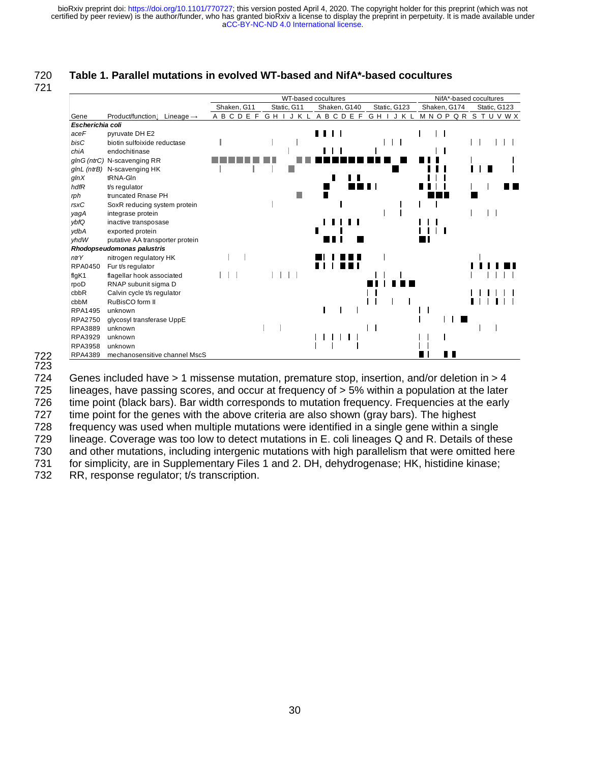# 720 **Table 1. Parallel mutations in evolved WT-based and NifA\*-based cocultures**

721



722 723

724 Genes included have > 1 missense mutation, premature stop, insertion, and/or deletion in > 4 725 lineages, have passing scores, and occur at frequency of > 5% within a population at the later 726 time point (black bars). Bar width corresponds to mutation frequency. Frequencies at the early 727 time point for the genes with the above criteria are also shown (gray bars). The highest 728 frequency was used when multiple mutations were identified in a single gene within a single 729 lineage. Coverage was too low to detect mutations in E. coli lineages Q and R. Details of these 730 and other mutations, including intergenic mutations with high parallelism that were omitted here 731 for simplicity, are in Supplementary Files 1 and 2. DH, dehydrogenase; HK, histidine kinase; 732 RR, response regulator; t/s transcription.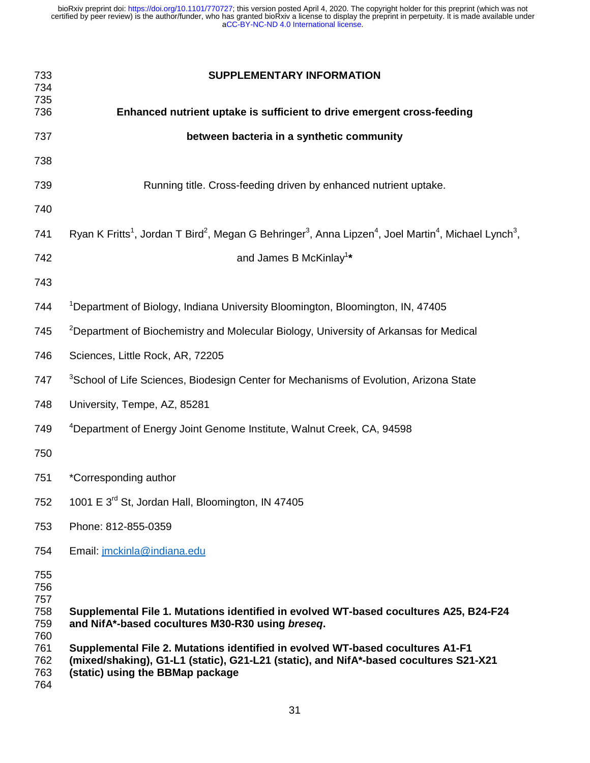| 733<br>734<br>735                                    | <b>SUPPLEMENTARY INFORMATION</b>                                                                                                                                                                                                                                                                                     |  |  |  |  |
|------------------------------------------------------|----------------------------------------------------------------------------------------------------------------------------------------------------------------------------------------------------------------------------------------------------------------------------------------------------------------------|--|--|--|--|
| 736                                                  | Enhanced nutrient uptake is sufficient to drive emergent cross-feeding                                                                                                                                                                                                                                               |  |  |  |  |
| 737                                                  | between bacteria in a synthetic community                                                                                                                                                                                                                                                                            |  |  |  |  |
| 738                                                  |                                                                                                                                                                                                                                                                                                                      |  |  |  |  |
| 739                                                  | Running title. Cross-feeding driven by enhanced nutrient uptake.                                                                                                                                                                                                                                                     |  |  |  |  |
| 740                                                  |                                                                                                                                                                                                                                                                                                                      |  |  |  |  |
| 741                                                  | Ryan K Fritts <sup>1</sup> , Jordan T Bird <sup>2</sup> , Megan G Behringer <sup>3</sup> , Anna Lipzen <sup>4</sup> , Joel Martin <sup>4</sup> , Michael Lynch <sup>3</sup> ,                                                                                                                                        |  |  |  |  |
| 742                                                  | and James B McKinlay <sup>1*</sup>                                                                                                                                                                                                                                                                                   |  |  |  |  |
| 743                                                  |                                                                                                                                                                                                                                                                                                                      |  |  |  |  |
| 744                                                  | <sup>1</sup> Department of Biology, Indiana University Bloomington, Bloomington, IN, 47405                                                                                                                                                                                                                           |  |  |  |  |
| 745                                                  | <sup>2</sup> Department of Biochemistry and Molecular Biology, University of Arkansas for Medical                                                                                                                                                                                                                    |  |  |  |  |
| 746                                                  | Sciences, Little Rock, AR, 72205                                                                                                                                                                                                                                                                                     |  |  |  |  |
| 747                                                  | <sup>3</sup> School of Life Sciences, Biodesign Center for Mechanisms of Evolution, Arizona State                                                                                                                                                                                                                    |  |  |  |  |
| 748                                                  | University, Tempe, AZ, 85281                                                                                                                                                                                                                                                                                         |  |  |  |  |
| 749                                                  | <sup>4</sup> Department of Energy Joint Genome Institute, Walnut Creek, CA, 94598                                                                                                                                                                                                                                    |  |  |  |  |
| 750                                                  |                                                                                                                                                                                                                                                                                                                      |  |  |  |  |
| 751                                                  | *Corresponding author                                                                                                                                                                                                                                                                                                |  |  |  |  |
| 752                                                  | 1001 E 3rd St, Jordan Hall, Bloomington, IN 47405                                                                                                                                                                                                                                                                    |  |  |  |  |
| 753                                                  | Phone: 812-855-0359                                                                                                                                                                                                                                                                                                  |  |  |  |  |
| 754                                                  | Email: jmckinla@indiana.edu                                                                                                                                                                                                                                                                                          |  |  |  |  |
| 755<br>756<br>757<br>758<br>759<br>760<br>761<br>762 | Supplemental File 1. Mutations identified in evolved WT-based cocultures A25, B24-F24<br>and NifA*-based cocultures M30-R30 using breseq.<br>Supplemental File 2. Mutations identified in evolved WT-based cocultures A1-F1<br>(mixed/shaking), G1-L1 (static), G21-L21 (static), and NifA*-based cocultures S21-X21 |  |  |  |  |
| 763<br>764                                           | (static) using the BBMap package                                                                                                                                                                                                                                                                                     |  |  |  |  |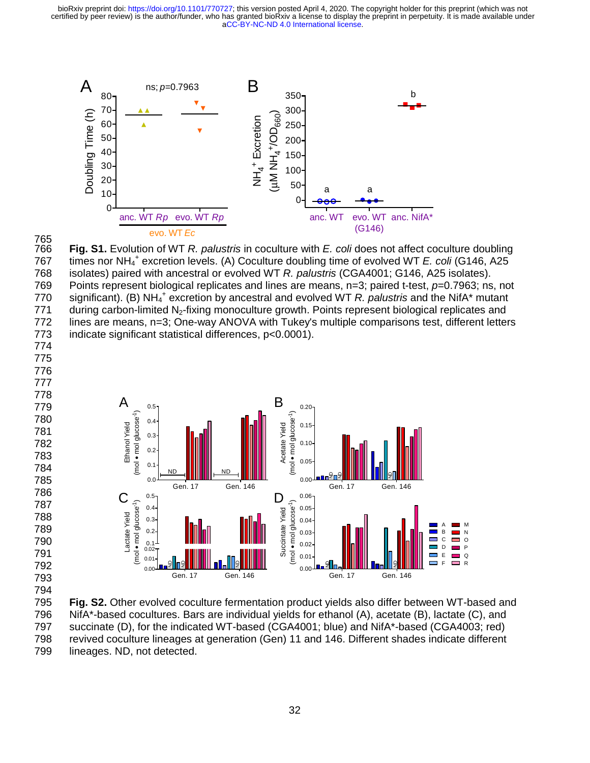

765 766 **Fig. S1.** Evolution of WT *R. palustris* in coculture with *E. coli* does not affect coculture doubling 767 times nor NH<sub>4</sub><sup>+</sup> excretion levels. (A) Coculture doubling time of evolved WT *E. coli* (G146, A25 768 isolates) paired with ancestral or evolved WT *R. palustris* (CGA4001; G146, A25 isolates). 769 Points represent biological replicates and lines are means, n=3; paired t-test, *p*=0.7963; ns, not 770 significant). (B) NH<sub>4</sub><sup>+</sup> excretion by ancestral and evolved WT *R. palustris* and the NifA<sup>\*</sup> mutant 771 during carbon-limited N<sub>2</sub>-fixing monoculture growth. Points represent biological replicates and 772 lines are means, n=3; One-way ANOVA with Tukey's multiple comparisons test, different letters 773 indicate significant statistical differences, p<0.0001). 774



795 **Fig. S2.** Other evolved coculture fermentation product yields also differ between WT-based and 796 NifA\*-based cocultures. Bars are individual yields for ethanol (A), acetate (B), lactate (C), and 797 succinate (D), for the indicated WT-based (CGA4001; blue) and NifA\*-based (CGA4003; red) 798 revived coculture lineages at generation (Gen) 11 and 146. Different shades indicate different 799 lineages. ND, not detected.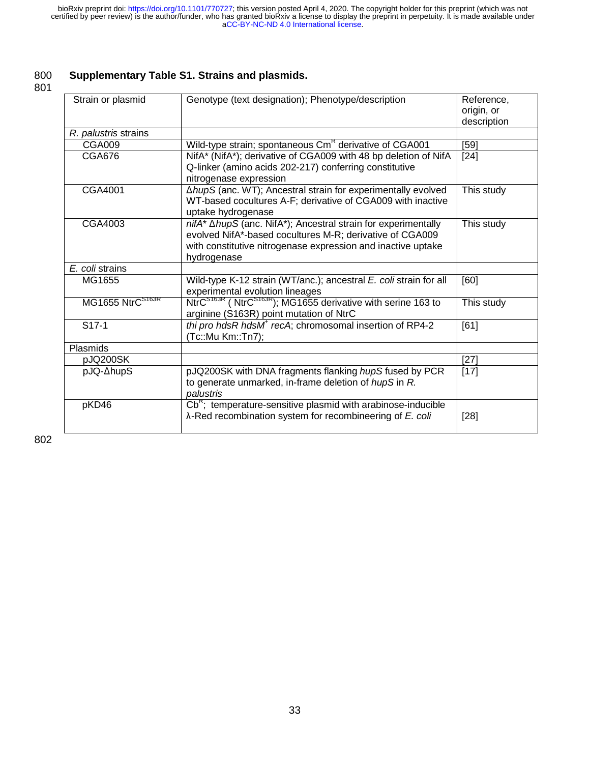# 800 **Supplementary Table S1. Strains and plasmids.**

801

| Strain or plasmid    | Genotype (text designation); Phenotype/description                                                                                                                                                       | Reference,<br>origin, or<br>description |
|----------------------|----------------------------------------------------------------------------------------------------------------------------------------------------------------------------------------------------------|-----------------------------------------|
| R. palustris strains |                                                                                                                                                                                                          |                                         |
| <b>CGA009</b>        | Wild-type strain; spontaneous Cm <sup>R</sup> derivative of CGA001                                                                                                                                       | $[59]$                                  |
| <b>CGA676</b>        | NifA* (NifA*); derivative of CGA009 with 48 bp deletion of NifA<br>Q-linker (amino acids 202-217) conferring constitutive<br>nitrogenase expression                                                      | $[24]$                                  |
| CGA4001              | ∆hupS (anc. WT); Ancestral strain for experimentally evolved<br>WT-based cocultures A-F; derivative of CGA009 with inactive<br>uptake hydrogenase                                                        | This study                              |
| CGA4003              | nifA* AhupS (anc. NifA*); Ancestral strain for experimentally<br>evolved NifA*-based cocultures M-R; derivative of CGA009<br>with constitutive nitrogenase expression and inactive uptake<br>hydrogenase | This study                              |
| E. coli strains      |                                                                                                                                                                                                          |                                         |
| MG1655               | Wild-type K-12 strain (WT/anc.); ancestral E. coli strain for all<br>experimental evolution lineages                                                                                                     | [60]                                    |
| MG1655 NtrCS163R     | NtrC <sup>S163R</sup> (NtrC <sup>S163R</sup> ); MG1655 derivative with serine 163 to<br>arginine (S163R) point mutation of NtrC                                                                          | This study                              |
| $S17-1$              | thi pro hdsR hdsM <sup>+</sup> recA; chromosomal insertion of RP4-2<br>(Tc::Mu Km::Tn7);                                                                                                                 | [61]                                    |
| <b>Plasmids</b>      |                                                                                                                                                                                                          |                                         |
| pJQ200SK             |                                                                                                                                                                                                          | $[27]$                                  |
| pJQ-∆hupS            | pJQ200SK with DNA fragments flanking hupS fused by PCR<br>to generate unmarked, in-frame deletion of hupS in R.<br>palustris                                                                             | $[17]$                                  |
| pKD46                | $\overline{\text{Cb}}^{\text{R}}$ ; temperature-sensitive plasmid with arabinose-inducible<br>$\lambda$ -Red recombination system for recombineering of E. coli                                          | $[28]$                                  |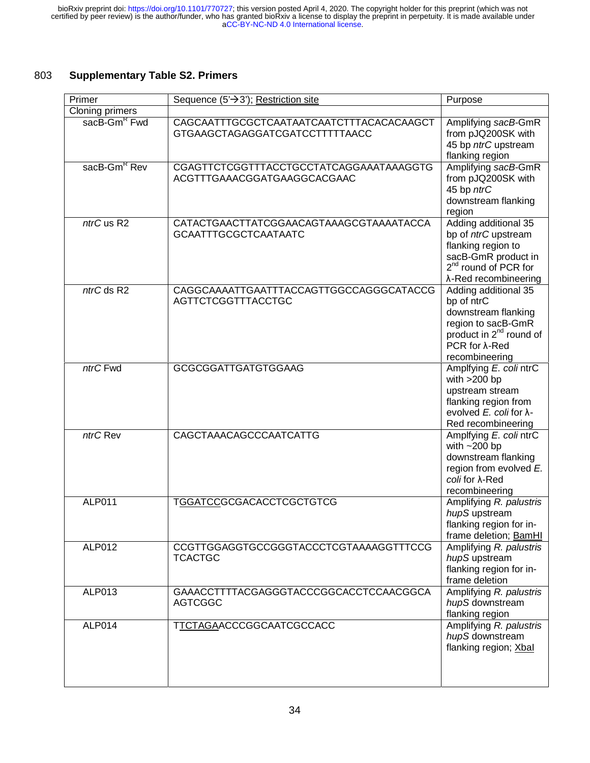# 803 **Supplementary Table S2. Primers**

| Primer                   | Sequence $(5' \rightarrow 3')$ ; Restriction site                          | Purpose                                                                                                                                                              |
|--------------------------|----------------------------------------------------------------------------|----------------------------------------------------------------------------------------------------------------------------------------------------------------------|
| Cloning primers          |                                                                            |                                                                                                                                                                      |
| sacB-Gm <sup>R</sup> Fwd | CAGCAATTTGCGCTCAATAATCAATCTTTACACACAAGCT<br>GTGAAGCTAGAGGATCGATCCTTTTTAACC | Amplifying sacB-GmR<br>from pJQ200SK with<br>45 bp ntrC upstream<br>flanking region                                                                                  |
| sacB-Gm <sup>R</sup> Rev | CGAGTTCTCGGTTTACCTGCCTATCAGGAAATAAAGGTG<br>ACGTTTGAAACGGATGAAGGCACGAAC     | Amplifying sacB-GmR<br>from pJQ200SK with<br>45 bp ntrC<br>downstream flanking<br>region                                                                             |
| ntrC us R2               | CATACTGAACTTATCGGAACAGTAAAGCGTAAAATACCA<br><b>GCAATTTGCGCTCAATAATC</b>     | Adding additional 35<br>bp of ntrC upstream<br>flanking region to<br>sacB-GmR product in<br>2 <sup>nd</sup> round of PCR for<br>λ-Red recombineering                 |
| ntrC ds R2               | CAGGCAAAATTGAATTTACCAGTTGGCCAGGGCATACCG<br><b>AGTTCTCGGTTTACCTGC</b>       | Adding additional 35<br>bp of ntrC<br>downstream flanking<br>region to sacB-GmR<br>product in 2 <sup>nd</sup> round of<br>$PCR$ for $\lambda$ -Red<br>recombineering |
| ntrC Fwd                 | <b>GCGCGGATTGATGTGGAAG</b>                                                 | Amplfying E. coli ntrC<br>with $>200$ bp<br>upstream stream<br>flanking region from<br>evolved $E$ , coli for $\lambda$ -<br>Red recombineering                      |
| ntrC Rev                 | CAGCTAAACAGCCCAATCATTG                                                     | Amplfying E. coli ntrC<br>with $~200$ bp<br>downstream flanking<br>region from evolved E.<br>coli for $\lambda$ -Red<br>recombineering                               |
| ALP011                   | TGGATCCGCGACACCTCGCTGTCG                                                   | Amplifying R. palustris<br>hupS upstream<br>flanking region for in-<br>frame deletion; BamHI                                                                         |
| <b>ALP012</b>            | CCGTTGGAGGTGCCGGGTACCCTCGTAAAAGGTTTCCG<br><b>TCACTGC</b>                   | Amplifying R. palustris<br>hupS upstream<br>flanking region for in-<br>frame deletion                                                                                |
| ALP013                   | GAAACCTTTTACGAGGGTACCCGGCACCTCCAACGGCA<br><b>AGTCGGC</b>                   | Amplifying R. palustris<br>hupS downstream<br>flanking region                                                                                                        |
| ALP014                   | TTCTAGAACCCGGCAATCGCCACC                                                   | Amplifying R. palustris<br>hupS downstream<br>flanking region; Xbal                                                                                                  |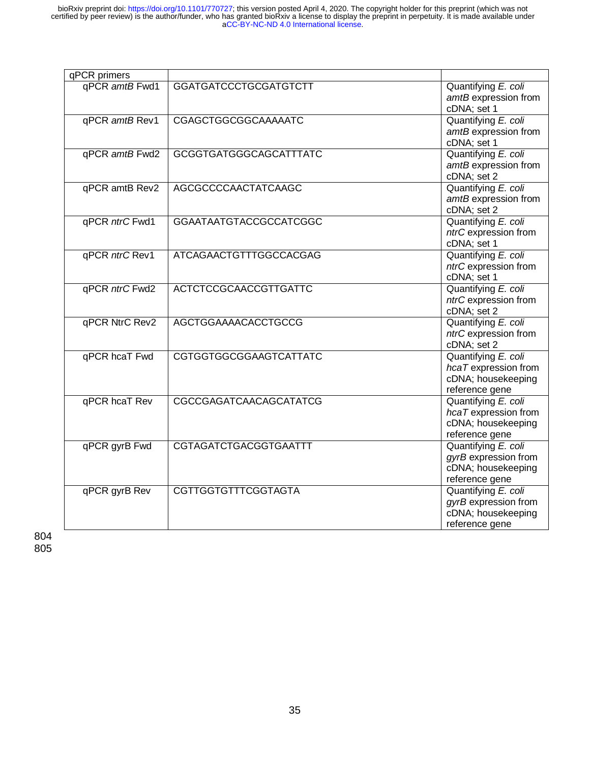| qPCR primers   |                               |                                                                                     |
|----------------|-------------------------------|-------------------------------------------------------------------------------------|
| qPCR amtB Fwd1 | <b>GGATGATCCCTGCGATGTCTT</b>  | Quantifying E. coli<br>amtB expression from<br>cDNA; set 1                          |
| qPCR amtB Rev1 | CGAGCTGGCGGCAAAAATC           | Quantifying E. coli<br>amtB expression from<br>cDNA; set 1                          |
| qPCR amtB Fwd2 | <b>GCGGTGATGGGCAGCATTTATC</b> | Quantifying E. coli<br>amtB expression from<br>cDNA; set 2                          |
| qPCR amtB Rev2 | AGCGCCCCAACTATCAAGC           | Quantifying E. coli<br>amtB expression from<br>cDNA; set 2                          |
| qPCR ntrC Fwd1 | <b>GGAATAATGTACCGCCATCGGC</b> | Quantifying E. coli<br>ntrC expression from<br>cDNA; set 1                          |
| qPCR ntrC Rev1 | ATCAGAACTGTTTGGCCACGAG        | Quantifying E. coli<br>ntrC expression from<br>cDNA; set 1                          |
| qPCR ntrC Fwd2 | <b>ACTCTCCGCAACCGTTGATTC</b>  | Quantifying E. coli<br>ntrC expression from<br>cDNA; set 2                          |
| qPCR NtrC Rev2 | <b>AGCTGGAAAACACCTGCCG</b>    | Quantifying E. coli<br>ntrC expression from<br>cDNA; set 2                          |
| qPCR hcaT Fwd  | CGTGGTGGCGGAAGTCATTATC        | Quantifying E. coli<br>hcaT expression from<br>cDNA; housekeeping<br>reference gene |
| qPCR hcaT Rev  | CGCCGAGATCAACAGCATATCG        | Quantifying E. coli<br>hcaT expression from<br>cDNA; housekeeping<br>reference gene |
| qPCR gyrB Fwd  | <b>CGTAGATCTGACGGTGAATTT</b>  | Quantifying E. coli<br>gyrB expression from<br>cDNA; housekeeping<br>reference gene |
| qPCR gyrB Rev  | <b>CGTTGGTGTTTCGGTAGTA</b>    | Quantifying E. coli<br>gyrB expression from<br>cDNA; housekeeping<br>reference gene |

804